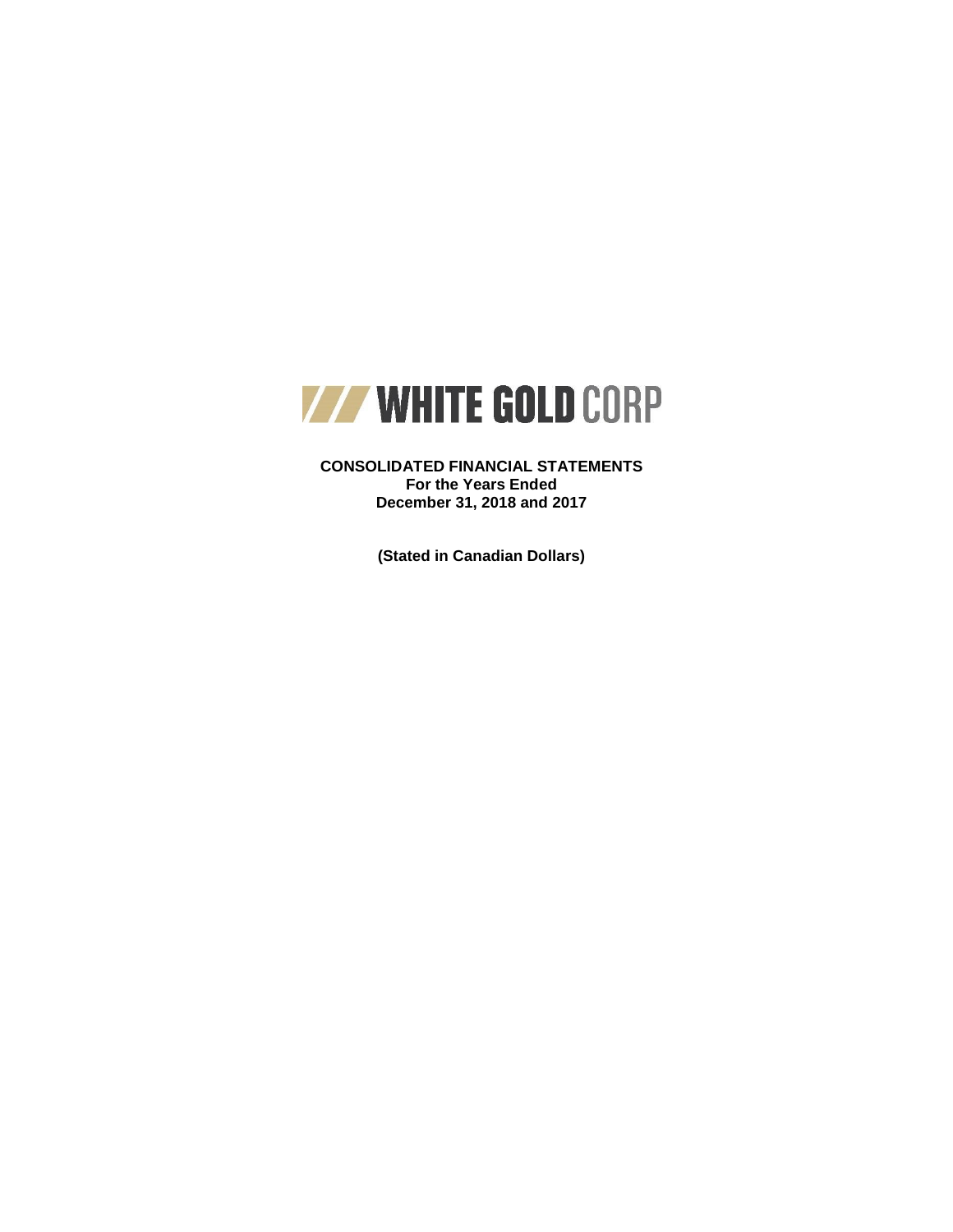

**CONSOLIDATED FINANCIAL STATEMENTS For the Years Ended December 31, 2018 and 2017**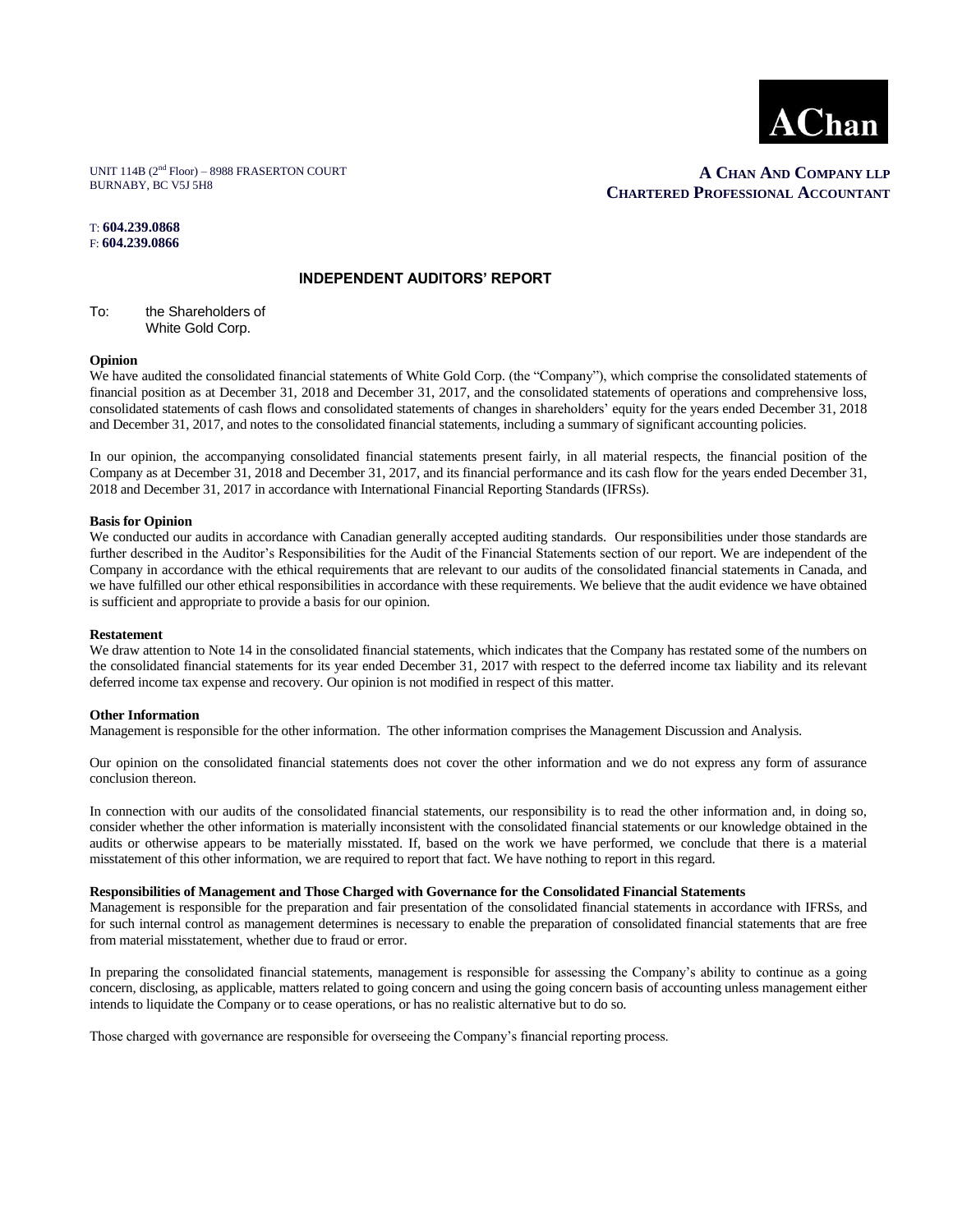

UNIT 114B (2nd Floor) – 8988 FRASERTON COURT BURNABY, BC V5J 5H8

 **A CHAN AND COMPANY LLP CHARTERED PROFESSIONAL ACCOUNTANT**

#### T: **604.239.0868**  F: **604.239.0866**

#### **INDEPENDENT AUDITORS' REPORT**

To: the Shareholders of White Gold Corp.

#### **Opinion**

We have audited the consolidated financial statements of White Gold Corp. (the "Company"), which comprise the consolidated statements of financial position as at December 31, 2018 and December 31, 2017, and the consolidated statements of operations and comprehensive loss, consolidated statements of cash flows and consolidated statements of changes in shareholders' equity for the years ended December 31, 2018 and December 31, 2017, and notes to the consolidated financial statements, including a summary of significant accounting policies.

In our opinion, the accompanying consolidated financial statements present fairly, in all material respects, the financial position of the Company as at December 31, 2018 and December 31, 2017, and its financial performance and its cash flow for the years ended December 31, 2018 and December 31, 2017 in accordance with International Financial Reporting Standards (IFRSs).

#### **Basis for Opinion**

We conducted our audits in accordance with Canadian generally accepted auditing standards. Our responsibilities under those standards are further described in the Auditor's Responsibilities for the Audit of the Financial Statements section of our report. We are independent of the Company in accordance with the ethical requirements that are relevant to our audits of the consolidated financial statements in Canada, and we have fulfilled our other ethical responsibilities in accordance with these requirements. We believe that the audit evidence we have obtained is sufficient and appropriate to provide a basis for our opinion.

#### **Restatement**

We draw attention to Note 14 in the consolidated financial statements, which indicates that the Company has restated some of the numbers on the consolidated financial statements for its year ended December 31, 2017 with respect to the deferred income tax liability and its relevant deferred income tax expense and recovery. Our opinion is not modified in respect of this matter.

#### **Other Information**

Management is responsible for the other information. The other information comprises the Management Discussion and Analysis.

Our opinion on the consolidated financial statements does not cover the other information and we do not express any form of assurance conclusion thereon.

In connection with our audits of the consolidated financial statements, our responsibility is to read the other information and, in doing so, consider whether the other information is materially inconsistent with the consolidated financial statements or our knowledge obtained in the audits or otherwise appears to be materially misstated. If, based on the work we have performed, we conclude that there is a material misstatement of this other information, we are required to report that fact. We have nothing to report in this regard.

#### **Responsibilities of Management and Those Charged with Governance for the Consolidated Financial Statements**

Management is responsible for the preparation and fair presentation of the consolidated financial statements in accordance with IFRSs, and for such internal control as management determines is necessary to enable the preparation of consolidated financial statements that are free from material misstatement, whether due to fraud or error.

In preparing the consolidated financial statements, management is responsible for assessing the Company's ability to continue as a going concern, disclosing, as applicable, matters related to going concern and using the going concern basis of accounting unless management either intends to liquidate the Company or to cease operations, or has no realistic alternative but to do so.

Those charged with governance are responsible for overseeing the Company's financial reporting process.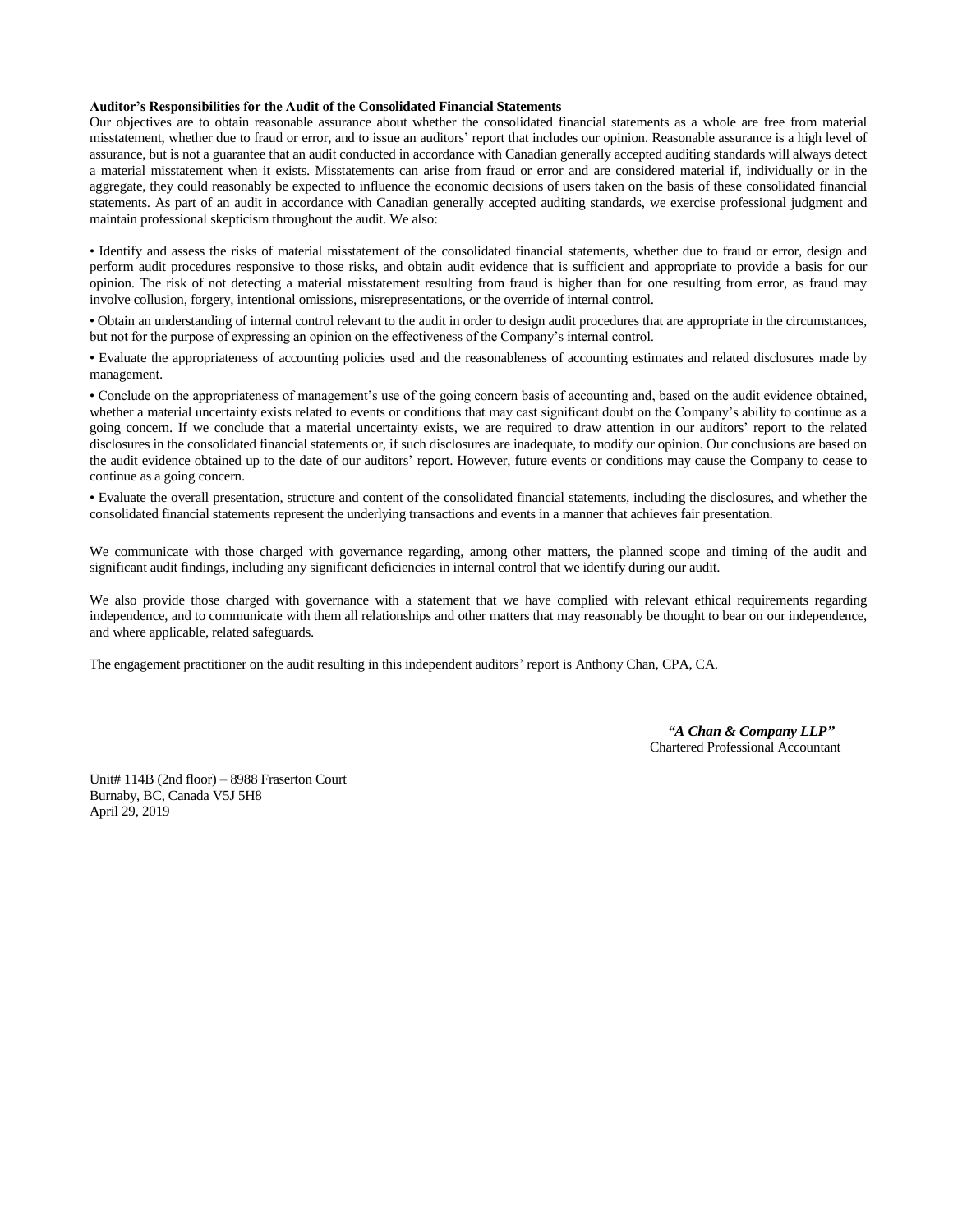#### **Auditor's Responsibilities for the Audit of the Consolidated Financial Statements**

Our objectives are to obtain reasonable assurance about whether the consolidated financial statements as a whole are free from material misstatement, whether due to fraud or error, and to issue an auditors' report that includes our opinion. Reasonable assurance is a high level of assurance, but is not a guarantee that an audit conducted in accordance with Canadian generally accepted auditing standards will always detect a material misstatement when it exists. Misstatements can arise from fraud or error and are considered material if, individually or in the aggregate, they could reasonably be expected to influence the economic decisions of users taken on the basis of these consolidated financial statements. As part of an audit in accordance with Canadian generally accepted auditing standards, we exercise professional judgment and maintain professional skepticism throughout the audit. We also:

• Identify and assess the risks of material misstatement of the consolidated financial statements, whether due to fraud or error, design and perform audit procedures responsive to those risks, and obtain audit evidence that is sufficient and appropriate to provide a basis for our opinion. The risk of not detecting a material misstatement resulting from fraud is higher than for one resulting from error, as fraud may involve collusion, forgery, intentional omissions, misrepresentations, or the override of internal control.

• Obtain an understanding of internal control relevant to the audit in order to design audit procedures that are appropriate in the circumstances, but not for the purpose of expressing an opinion on the effectiveness of the Company's internal control.

• Evaluate the appropriateness of accounting policies used and the reasonableness of accounting estimates and related disclosures made by management.

• Conclude on the appropriateness of management's use of the going concern basis of accounting and, based on the audit evidence obtained, whether a material uncertainty exists related to events or conditions that may cast significant doubt on the Company's ability to continue as a going concern. If we conclude that a material uncertainty exists, we are required to draw attention in our auditors' report to the related disclosures in the consolidated financial statements or, if such disclosures are inadequate, to modify our opinion. Our conclusions are based on the audit evidence obtained up to the date of our auditors' report. However, future events or conditions may cause the Company to cease to continue as a going concern.

• Evaluate the overall presentation, structure and content of the consolidated financial statements, including the disclosures, and whether the consolidated financial statements represent the underlying transactions and events in a manner that achieves fair presentation.

We communicate with those charged with governance regarding, among other matters, the planned scope and timing of the audit and significant audit findings, including any significant deficiencies in internal control that we identify during our audit.

We also provide those charged with governance with a statement that we have complied with relevant ethical requirements regarding independence, and to communicate with them all relationships and other matters that may reasonably be thought to bear on our independence, and where applicable, related safeguards.

The engagement practitioner on the audit resulting in this independent auditors' report is Anthony Chan, CPA, CA.

 *"A Chan & Company LLP"*  Chartered Professional Accountant

Unit# 114B (2nd floor) – 8988 Fraserton Court Burnaby, BC, Canada V5J 5H8 April 29, 2019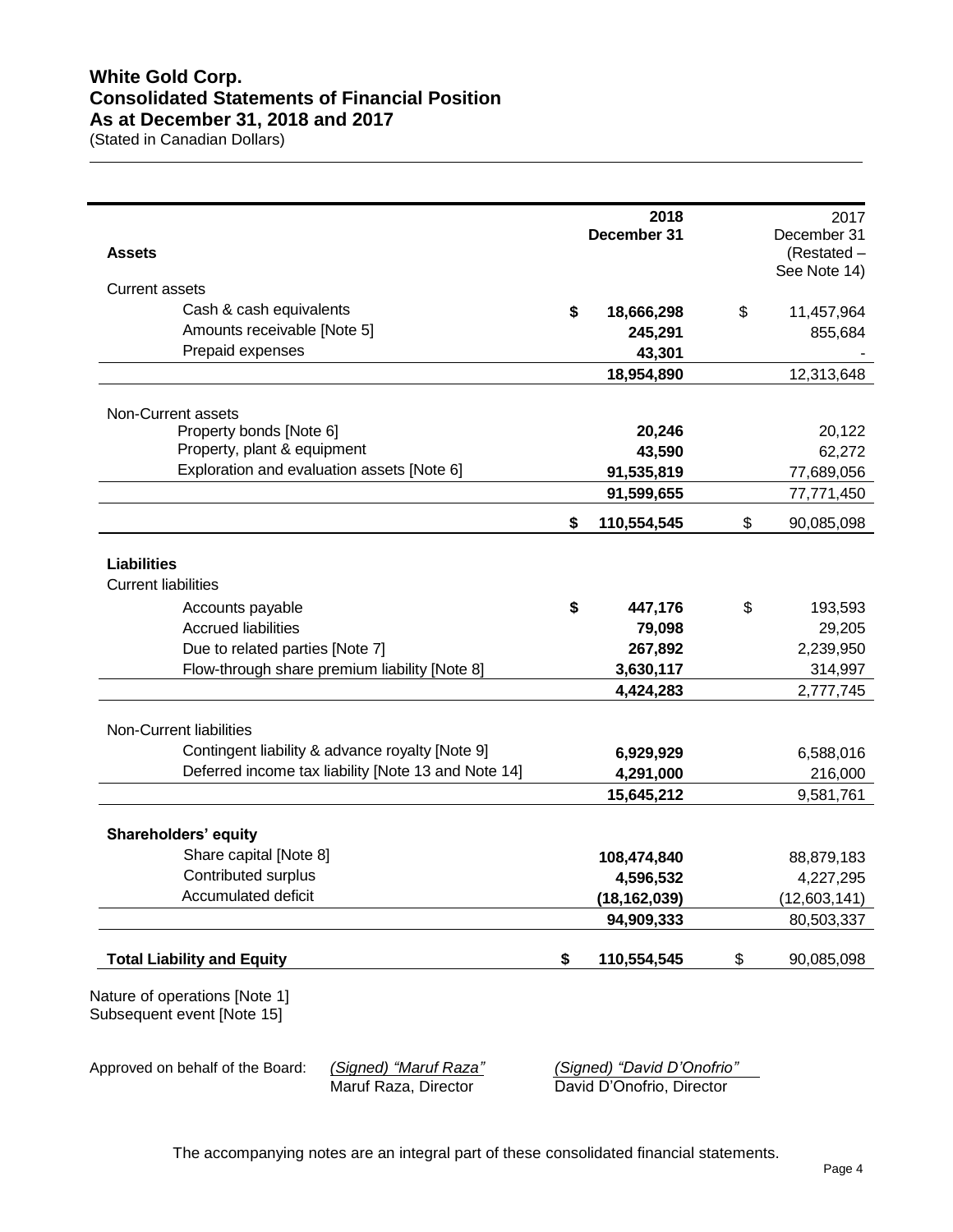# **White Gold Corp. Consolidated Statements of Financial Position As at December 31, 2018 and 2017**

(Stated in Canadian Dollars)

| <b>Assets</b>                                                                                                                                                                                                                                                                                                               | 2018<br>December 31                                                                                  | 2017<br>December 31<br>(Restated -<br>See Note 14)                                                |
|-----------------------------------------------------------------------------------------------------------------------------------------------------------------------------------------------------------------------------------------------------------------------------------------------------------------------------|------------------------------------------------------------------------------------------------------|---------------------------------------------------------------------------------------------------|
| <b>Current assets</b>                                                                                                                                                                                                                                                                                                       |                                                                                                      |                                                                                                   |
| Cash & cash equivalents                                                                                                                                                                                                                                                                                                     | \$<br>18,666,298                                                                                     | \$<br>11,457,964                                                                                  |
| Amounts receivable [Note 5]                                                                                                                                                                                                                                                                                                 | 245,291                                                                                              | 855,684                                                                                           |
| Prepaid expenses                                                                                                                                                                                                                                                                                                            | 43,301                                                                                               |                                                                                                   |
|                                                                                                                                                                                                                                                                                                                             | 18,954,890                                                                                           | 12,313,648                                                                                        |
| Non-Current assets                                                                                                                                                                                                                                                                                                          |                                                                                                      |                                                                                                   |
| Property bonds [Note 6]                                                                                                                                                                                                                                                                                                     | 20,246                                                                                               | 20,122                                                                                            |
| Property, plant & equipment                                                                                                                                                                                                                                                                                                 | 43,590                                                                                               | 62,272                                                                                            |
| Exploration and evaluation assets [Note 6]                                                                                                                                                                                                                                                                                  | 91,535,819                                                                                           | 77,689,056                                                                                        |
|                                                                                                                                                                                                                                                                                                                             | 91,599,655                                                                                           | 77,771,450                                                                                        |
|                                                                                                                                                                                                                                                                                                                             | \$<br>110,554,545                                                                                    | \$<br>90,085,098                                                                                  |
| <b>Liabilities</b><br><b>Current liabilities</b><br>Accounts payable<br><b>Accrued liabilities</b><br>Due to related parties [Note 7]<br>Flow-through share premium liability [Note 8]<br>Non-Current liabilities<br>Contingent liability & advance royalty [Note 9]<br>Deferred income tax liability [Note 13 and Note 14] | \$<br>447,176<br>79,098<br>267,892<br>3,630,117<br>4,424,283<br>6,929,929<br>4,291,000<br>15,645,212 | \$<br>193,593<br>29,205<br>2,239,950<br>314,997<br>2,777,745<br>6,588,016<br>216,000<br>9,581,761 |
|                                                                                                                                                                                                                                                                                                                             |                                                                                                      |                                                                                                   |
| Shareholders' equity                                                                                                                                                                                                                                                                                                        |                                                                                                      |                                                                                                   |
| Share capital [Note 8]<br>Contributed surplus                                                                                                                                                                                                                                                                               | 108,474,840                                                                                          | 88,879,183                                                                                        |
|                                                                                                                                                                                                                                                                                                                             | 4,596,532                                                                                            | 4,227,295                                                                                         |
| Accumulated deficit                                                                                                                                                                                                                                                                                                         | (18, 162, 039)<br>94,909,333                                                                         | (12,603,141)                                                                                      |
|                                                                                                                                                                                                                                                                                                                             |                                                                                                      | 80,503,337                                                                                        |
| <b>Total Liability and Equity</b>                                                                                                                                                                                                                                                                                           | \$<br>110,554,545                                                                                    | \$<br>90,085,098                                                                                  |
| Nature of operations [Note 1]<br>Subsequent event [Note 15]                                                                                                                                                                                                                                                                 |                                                                                                      |                                                                                                   |

Approved on behalf of the Board: *(Signed) "Maruf Raza" (Signed) "David D'Onofrio"*

Maruf Raza, Director David D'Onofrio, Director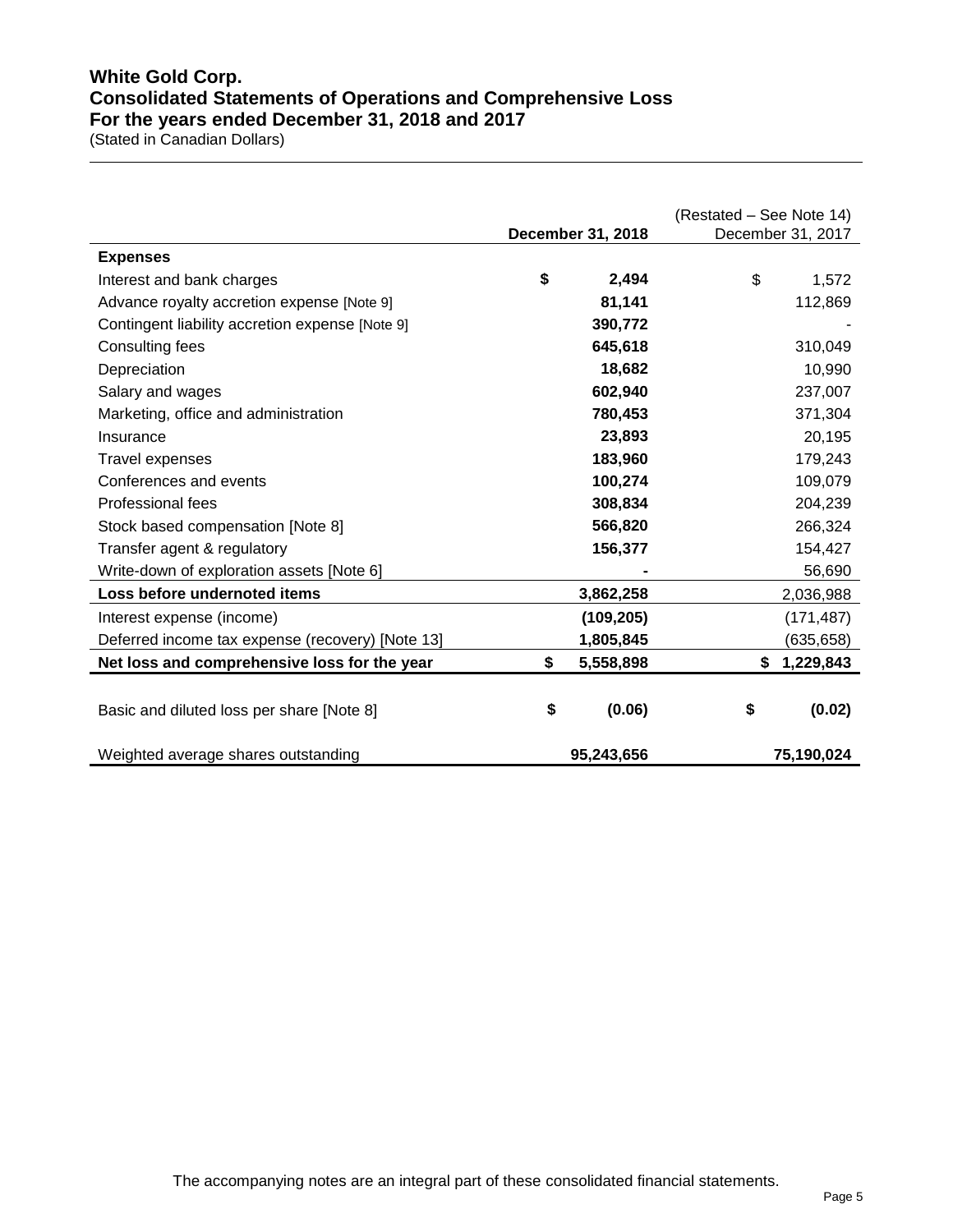# **White Gold Corp. Consolidated Statements of Operations and Comprehensive Loss For the years ended December 31, 2018 and 2017**

|                                                  | December 31, 2018 |            | (Restated – See Note 14) | December 31, 2017 |
|--------------------------------------------------|-------------------|------------|--------------------------|-------------------|
| <b>Expenses</b>                                  |                   |            |                          |                   |
| Interest and bank charges                        | \$                | 2,494      | \$                       | 1,572             |
| Advance royalty accretion expense [Note 9]       |                   | 81,141     |                          | 112,869           |
| Contingent liability accretion expense [Note 9]  |                   | 390,772    |                          |                   |
| Consulting fees                                  |                   | 645,618    |                          | 310,049           |
| Depreciation                                     |                   | 18,682     |                          | 10,990            |
| Salary and wages                                 |                   | 602,940    |                          | 237,007           |
| Marketing, office and administration             |                   | 780,453    |                          | 371,304           |
| Insurance                                        |                   | 23,893     |                          | 20,195            |
| <b>Travel expenses</b>                           |                   | 183,960    |                          | 179,243           |
| Conferences and events                           |                   | 100,274    |                          | 109,079           |
| Professional fees                                |                   | 308,834    |                          | 204,239           |
| Stock based compensation [Note 8]                |                   | 566,820    |                          | 266,324           |
| Transfer agent & regulatory                      |                   | 156,377    |                          | 154,427           |
| Write-down of exploration assets [Note 6]        |                   |            |                          | 56,690            |
| Loss before undernoted items                     |                   | 3,862,258  |                          | 2,036,988         |
| Interest expense (income)                        |                   | (109, 205) |                          | (171, 487)        |
| Deferred income tax expense (recovery) [Note 13] |                   | 1,805,845  |                          | (635, 658)        |
| Net loss and comprehensive loss for the year     | \$                | 5,558,898  | \$                       | 1,229,843         |
| Basic and diluted loss per share [Note 8]        | \$                | (0.06)     | \$                       | (0.02)            |
| Weighted average shares outstanding              |                   | 95,243,656 |                          | 75,190,024        |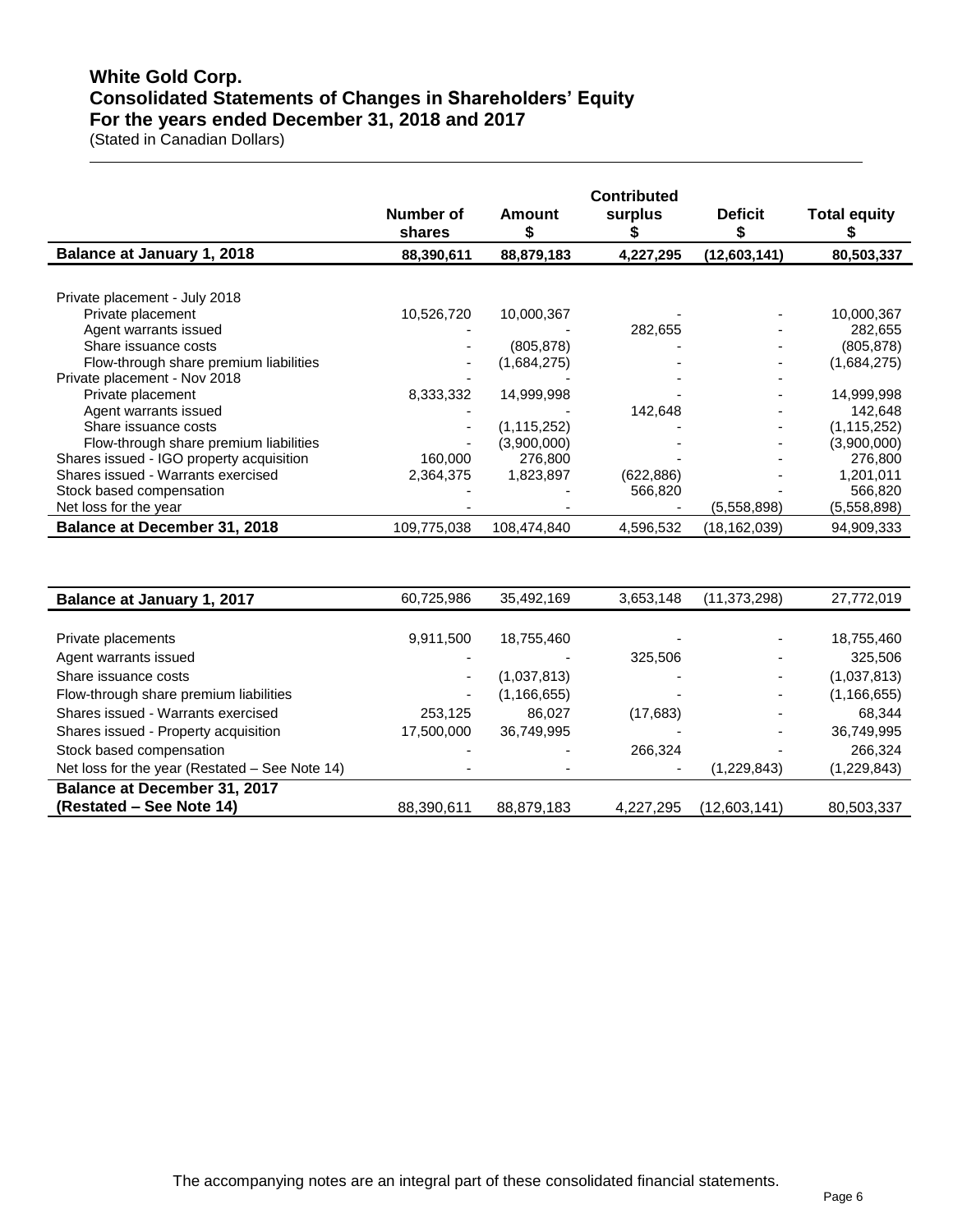# **White Gold Corp. Consolidated Statements of Changes in Shareholders' Equity For the years ended December 31, 2018 and 2017**

|                                          | Number of<br>shares | Amount<br>S   | <b>Contributed</b><br>surplus | <b>Deficit</b> | <b>Total equity</b> |
|------------------------------------------|---------------------|---------------|-------------------------------|----------------|---------------------|
| Balance at January 1, 2018               | 88,390,611          | 88,879,183    | 4,227,295                     | (12,603,141)   | 80,503,337          |
|                                          |                     |               |                               |                |                     |
| Private placement - July 2018            |                     |               |                               |                |                     |
| Private placement                        | 10,526,720          | 10,000,367    |                               |                | 10,000,367          |
| Agent warrants issued                    |                     |               | 282,655                       |                | 282,655             |
| Share issuance costs                     |                     | (805, 878)    |                               |                | (805, 878)          |
| Flow-through share premium liabilities   |                     | (1,684,275)   |                               |                | (1,684,275)         |
| Private placement - Nov 2018             |                     |               |                               |                |                     |
| Private placement                        | 8,333,332           | 14,999,998    |                               |                | 14,999,998          |
| Agent warrants issued                    |                     |               | 142,648                       |                | 142,648             |
| Share issuance costs                     |                     | (1, 115, 252) |                               |                | (1, 115, 252)       |
| Flow-through share premium liabilities   |                     | (3,900,000)   |                               |                | (3,900,000)         |
| Shares issued - IGO property acquisition | 160,000             | 276,800       |                               |                | 276,800             |
| Shares issued - Warrants exercised       | 2,364,375           | 1,823,897     | (622, 886)                    |                | 1,201,011           |
| Stock based compensation                 |                     |               | 566,820                       |                | 566,820             |
| Net loss for the year                    |                     |               |                               | (5,558,898)    | (5,558,898)         |
| <b>Balance at December 31, 2018</b>      | 109,775,038         | 108,474,840   | 4,596,532                     | (18, 162, 039) | 94,909,333          |

| Balance at January 1, 2017                     | 60,725,986 | 35,492,169    | 3,653,148 | (11, 373, 298)           | 27,772,019    |
|------------------------------------------------|------------|---------------|-----------|--------------------------|---------------|
|                                                |            |               |           |                          |               |
| Private placements                             | 9,911,500  | 18,755,460    |           |                          | 18,755,460    |
| Agent warrants issued                          | ۰          |               | 325,506   | $\overline{\phantom{a}}$ | 325,506       |
| Share issuance costs                           | ۰          | (1,037,813)   |           |                          | (1,037,813)   |
| Flow-through share premium liabilities         | ٠          | (1, 166, 655) |           |                          | (1, 166, 655) |
| Shares issued - Warrants exercised             | 253.125    | 86.027        | (17, 683) |                          | 68,344        |
| Shares issued - Property acquisition           | 17,500,000 | 36,749,995    |           |                          | 36,749,995    |
| Stock based compensation                       | -          |               | 266.324   |                          | 266,324       |
| Net loss for the year (Restated - See Note 14) | ٠          |               |           | (1,229,843)              | (1,229,843)   |
| <b>Balance at December 31, 2017</b>            |            |               |           |                          |               |
| (Restated – See Note 14)                       | 88,390,611 | 88,879,183    | 4,227,295 | (12,603,141)             | 80,503,337    |
|                                                |            |               |           |                          |               |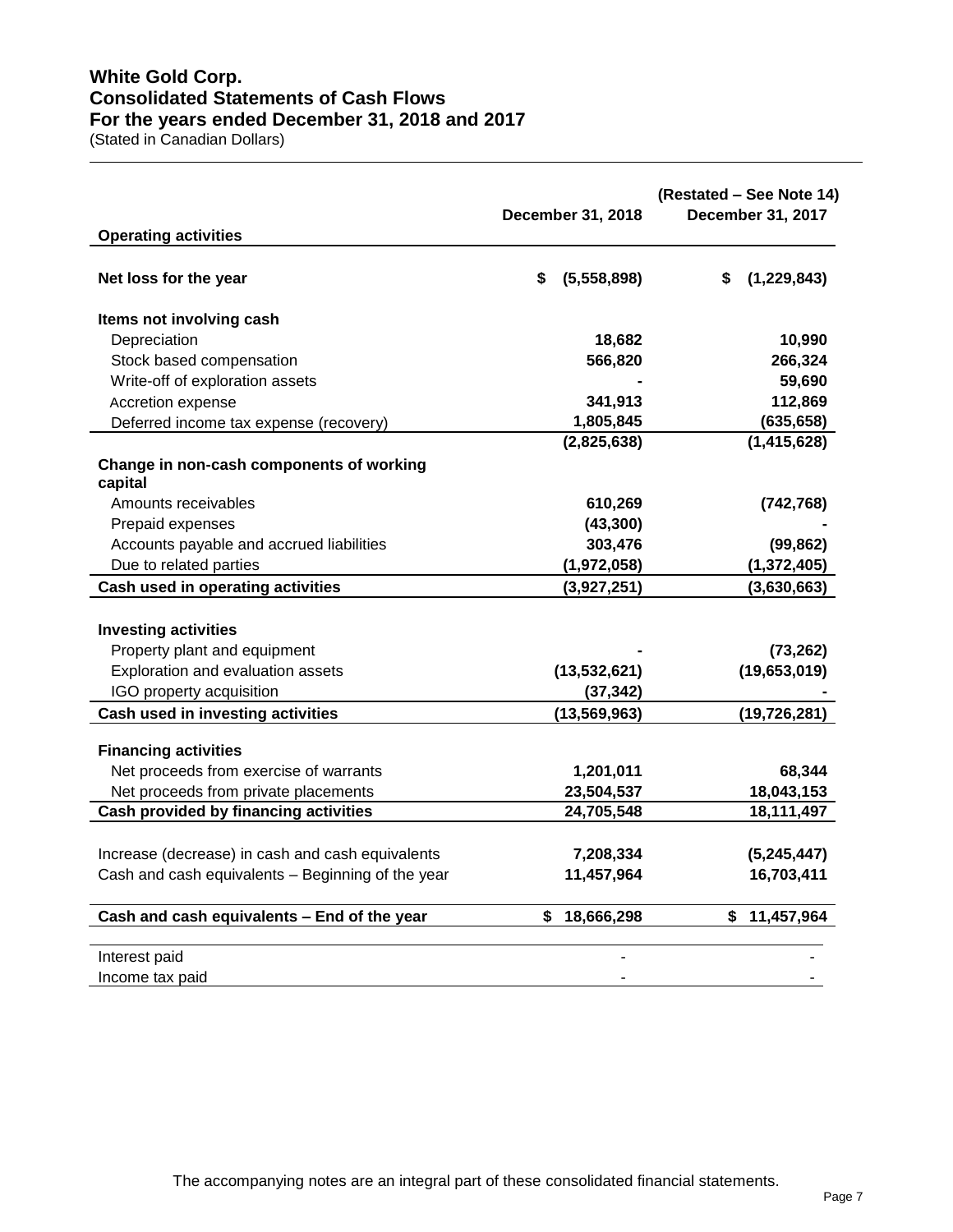# **White Gold Corp. Consolidated Statements of Cash Flows For the years ended December 31, 2018 and 2017**

|                                                     | December 31, 2018 | (Restated – See Note 14)<br>December 31, 2017 |
|-----------------------------------------------------|-------------------|-----------------------------------------------|
| <b>Operating activities</b>                         |                   |                                               |
| Net loss for the year                               | (5,558,898)<br>S  | (1, 229, 843)<br>\$                           |
| Items not involving cash                            |                   |                                               |
| Depreciation                                        | 18,682            | 10,990                                        |
| Stock based compensation                            | 566,820           | 266,324                                       |
| Write-off of exploration assets                     |                   | 59,690                                        |
| Accretion expense                                   | 341,913           | 112,869                                       |
| Deferred income tax expense (recovery)              | 1,805,845         | (635, 658)                                    |
|                                                     | (2,825,638)       | (1, 415, 628)                                 |
| Change in non-cash components of working<br>capital |                   |                                               |
| Amounts receivables                                 | 610,269           | (742, 768)                                    |
| Prepaid expenses                                    | (43, 300)         |                                               |
| Accounts payable and accrued liabilities            | 303,476           | (99, 862)                                     |
| Due to related parties                              | (1,972,058)       | (1, 372, 405)                                 |
| Cash used in operating activities                   | (3,927,251)       | (3,630,663)                                   |
|                                                     |                   |                                               |
| <b>Investing activities</b>                         |                   |                                               |
| Property plant and equipment                        |                   | (73, 262)                                     |
| Exploration and evaluation assets                   | (13,532,621)      | (19,653,019)                                  |
| IGO property acquisition                            | (37, 342)         |                                               |
| Cash used in investing activities                   | (13, 569, 963)    | (19,726,281)                                  |
| <b>Financing activities</b>                         |                   |                                               |
| Net proceeds from exercise of warrants              | 1,201,011         | 68,344                                        |
| Net proceeds from private placements                | 23,504,537        | 18,043,153                                    |
| Cash provided by financing activities               | 24,705,548        | 18,111,497                                    |
|                                                     |                   |                                               |
| Increase (decrease) in cash and cash equivalents    | 7,208,334         | (5, 245, 447)                                 |
| Cash and cash equivalents - Beginning of the year   | 11,457,964        | 16,703,411                                    |
| Cash and cash equivalents - End of the year         | S<br>18,666,298   | 11,457,964<br>\$                              |
| Interest paid                                       |                   |                                               |
| Income tax paid                                     |                   |                                               |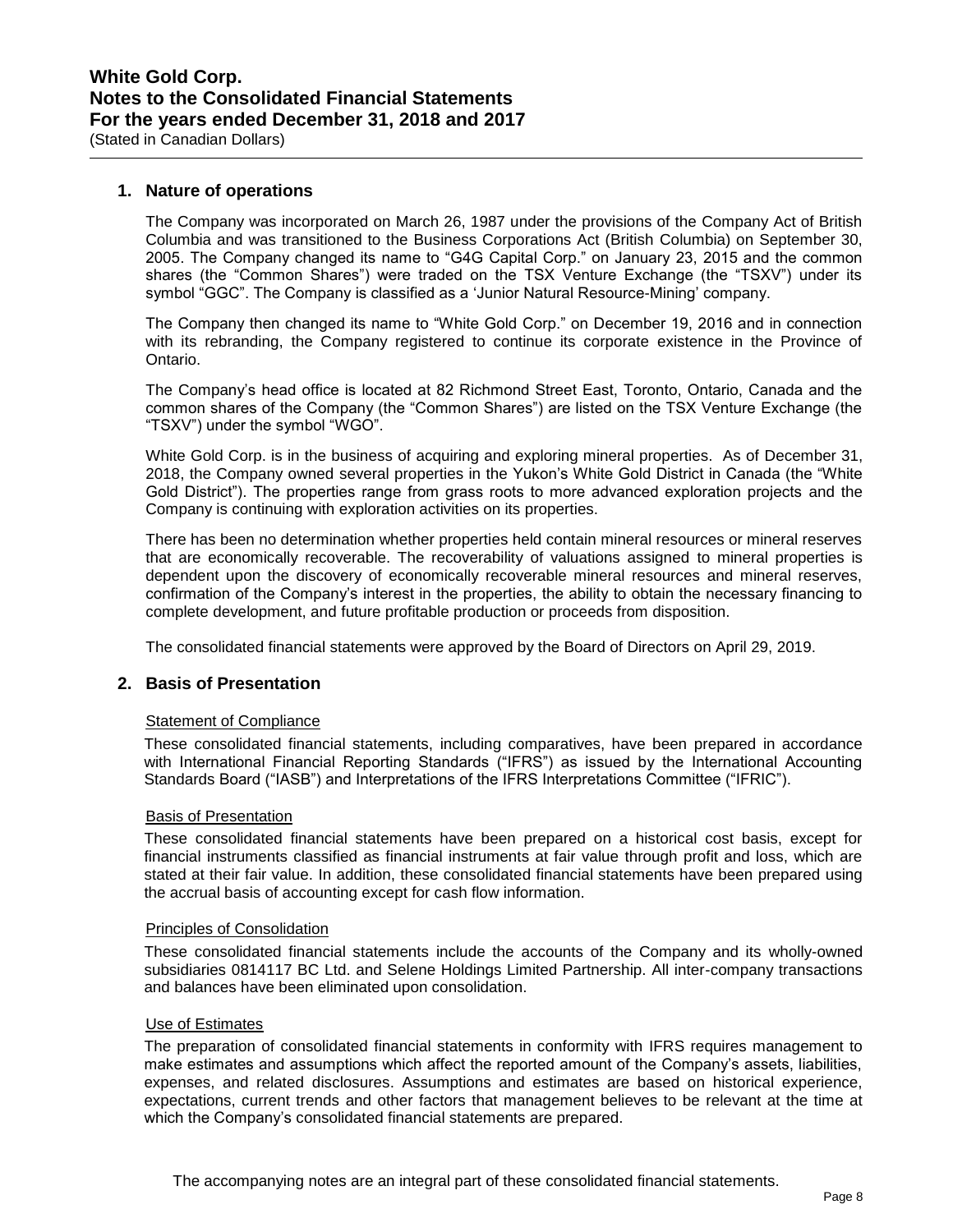## **1. Nature of operations**

The Company was incorporated on March 26, 1987 under the provisions of the Company Act of British Columbia and was transitioned to the Business Corporations Act (British Columbia) on September 30, 2005. The Company changed its name to "G4G Capital Corp." on January 23, 2015 and the common shares (the "Common Shares") were traded on the TSX Venture Exchange (the "TSXV") under its symbol "GGC". The Company is classified as a 'Junior Natural Resource-Mining' company.

The Company then changed its name to "White Gold Corp." on December 19, 2016 and in connection with its rebranding, the Company registered to continue its corporate existence in the Province of Ontario.

The Company's head office is located at 82 Richmond Street East, Toronto, Ontario, Canada and the common shares of the Company (the "Common Shares") are listed on the TSX Venture Exchange (the "TSXV") under the symbol "WGO".

White Gold Corp. is in the business of acquiring and exploring mineral properties. As of December 31, 2018, the Company owned several properties in the Yukon's White Gold District in Canada (the "White Gold District"). The properties range from grass roots to more advanced exploration projects and the Company is continuing with exploration activities on its properties.

There has been no determination whether properties held contain mineral resources or mineral reserves that are economically recoverable. The recoverability of valuations assigned to mineral properties is dependent upon the discovery of economically recoverable mineral resources and mineral reserves, confirmation of the Company's interest in the properties, the ability to obtain the necessary financing to complete development, and future profitable production or proceeds from disposition.

The consolidated financial statements were approved by the Board of Directors on April 29, 2019.

# **2. Basis of Presentation**

#### Statement of Compliance

These consolidated financial statements, including comparatives, have been prepared in accordance with International Financial Reporting Standards ("IFRS") as issued by the International Accounting Standards Board ("IASB") and Interpretations of the IFRS Interpretations Committee ("IFRIC").

#### Basis of Presentation

These consolidated financial statements have been prepared on a historical cost basis, except for financial instruments classified as financial instruments at fair value through profit and loss, which are stated at their fair value. In addition, these consolidated financial statements have been prepared using the accrual basis of accounting except for cash flow information.

## Principles of Consolidation

These consolidated financial statements include the accounts of the Company and its wholly-owned subsidiaries 0814117 BC Ltd. and Selene Holdings Limited Partnership. All inter-company transactions and balances have been eliminated upon consolidation.

#### Use of Estimates

The preparation of consolidated financial statements in conformity with IFRS requires management to make estimates and assumptions which affect the reported amount of the Company's assets, liabilities, expenses, and related disclosures. Assumptions and estimates are based on historical experience, expectations, current trends and other factors that management believes to be relevant at the time at which the Company's consolidated financial statements are prepared.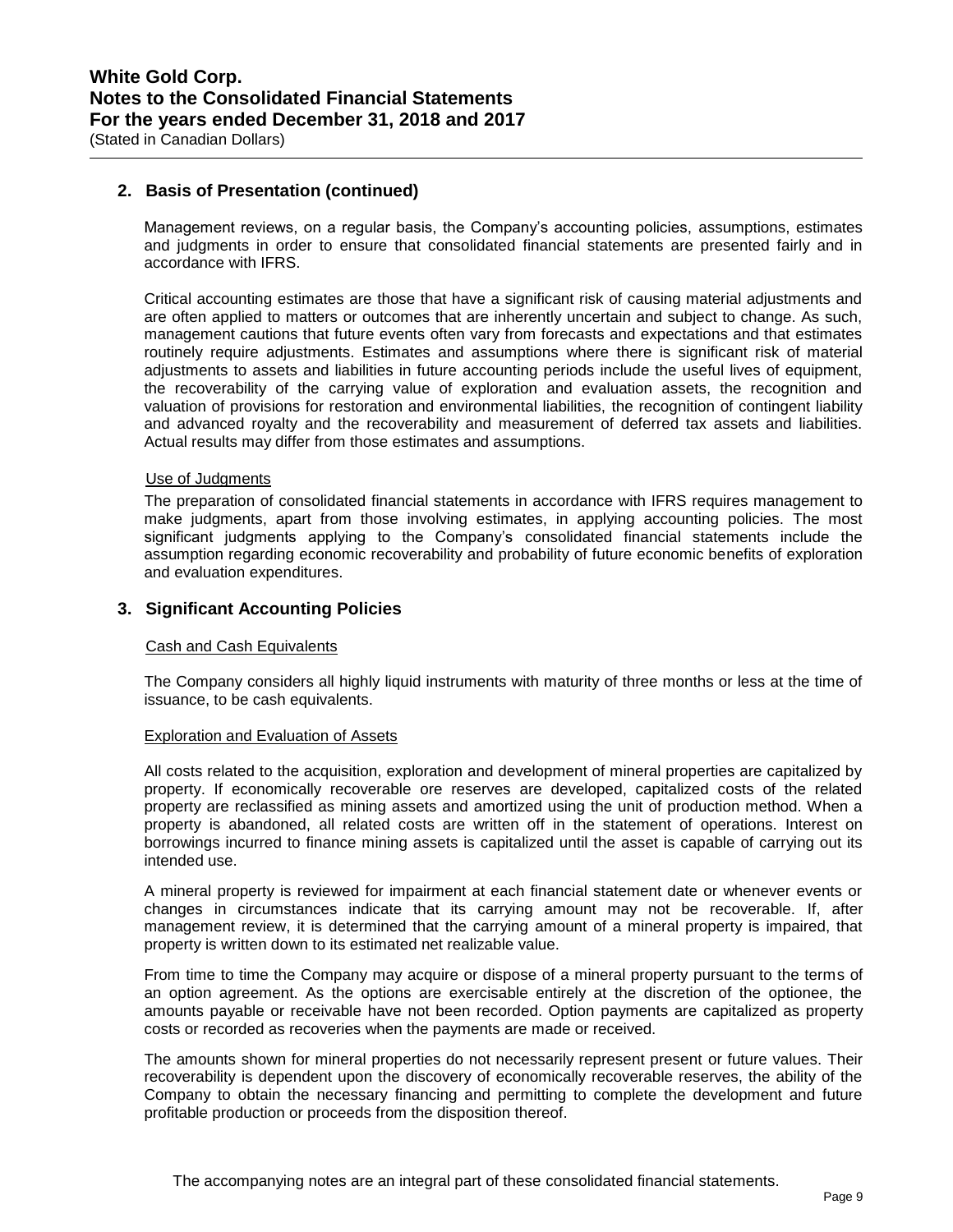# **2. Basis of Presentation (continued)**

Management reviews, on a regular basis, the Company's accounting policies, assumptions, estimates and judgments in order to ensure that consolidated financial statements are presented fairly and in accordance with IFRS.

Critical accounting estimates are those that have a significant risk of causing material adjustments and are often applied to matters or outcomes that are inherently uncertain and subject to change. As such, management cautions that future events often vary from forecasts and expectations and that estimates routinely require adjustments. Estimates and assumptions where there is significant risk of material adjustments to assets and liabilities in future accounting periods include the useful lives of equipment, the recoverability of the carrying value of exploration and evaluation assets, the recognition and valuation of provisions for restoration and environmental liabilities, the recognition of contingent liability and advanced royalty and the recoverability and measurement of deferred tax assets and liabilities. Actual results may differ from those estimates and assumptions.

## Use of Judgments

The preparation of consolidated financial statements in accordance with IFRS requires management to make judgments, apart from those involving estimates, in applying accounting policies. The most significant judgments applying to the Company's consolidated financial statements include the assumption regarding economic recoverability and probability of future economic benefits of exploration and evaluation expenditures.

## **3. Significant Accounting Policies**

#### Cash and Cash Equivalents

The Company considers all highly liquid instruments with maturity of three months or less at the time of issuance, to be cash equivalents.

#### Exploration and Evaluation of Assets

All costs related to the acquisition, exploration and development of mineral properties are capitalized by property. If economically recoverable ore reserves are developed, capitalized costs of the related property are reclassified as mining assets and amortized using the unit of production method. When a property is abandoned, all related costs are written off in the statement of operations. Interest on borrowings incurred to finance mining assets is capitalized until the asset is capable of carrying out its intended use.

A mineral property is reviewed for impairment at each financial statement date or whenever events or changes in circumstances indicate that its carrying amount may not be recoverable. If, after management review, it is determined that the carrying amount of a mineral property is impaired, that property is written down to its estimated net realizable value.

From time to time the Company may acquire or dispose of a mineral property pursuant to the terms of an option agreement. As the options are exercisable entirely at the discretion of the optionee, the amounts payable or receivable have not been recorded. Option payments are capitalized as property costs or recorded as recoveries when the payments are made or received.

The amounts shown for mineral properties do not necessarily represent present or future values. Their recoverability is dependent upon the discovery of economically recoverable reserves, the ability of the Company to obtain the necessary financing and permitting to complete the development and future profitable production or proceeds from the disposition thereof.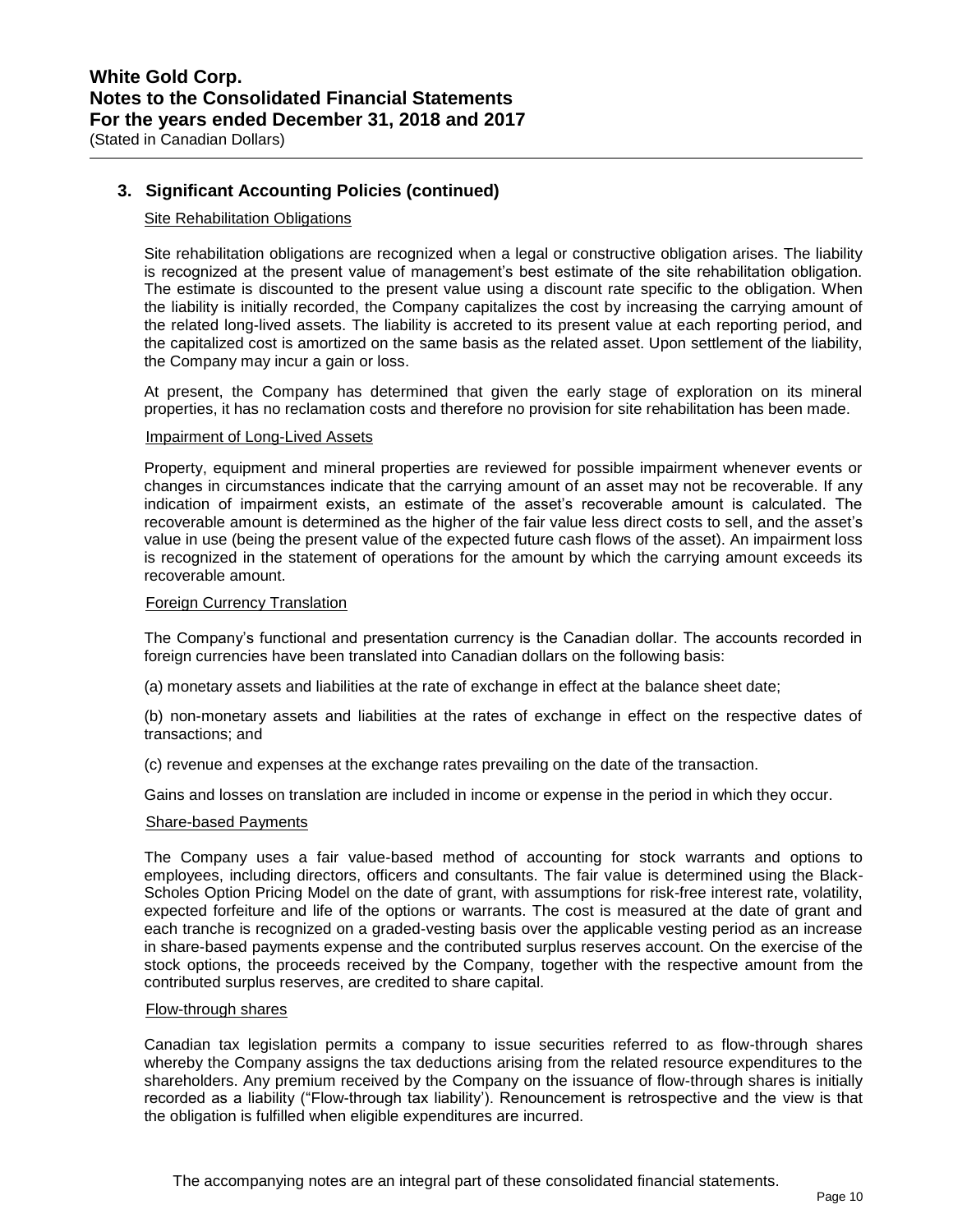# **3. Significant Accounting Policies (continued)**

## Site Rehabilitation Obligations

Site rehabilitation obligations are recognized when a legal or constructive obligation arises. The liability is recognized at the present value of management's best estimate of the site rehabilitation obligation. The estimate is discounted to the present value using a discount rate specific to the obligation. When the liability is initially recorded, the Company capitalizes the cost by increasing the carrying amount of the related long-lived assets. The liability is accreted to its present value at each reporting period, and the capitalized cost is amortized on the same basis as the related asset. Upon settlement of the liability, the Company may incur a gain or loss.

At present, the Company has determined that given the early stage of exploration on its mineral properties, it has no reclamation costs and therefore no provision for site rehabilitation has been made.

#### Impairment of Long-Lived Assets

Property, equipment and mineral properties are reviewed for possible impairment whenever events or changes in circumstances indicate that the carrying amount of an asset may not be recoverable. If any indication of impairment exists, an estimate of the asset's recoverable amount is calculated. The recoverable amount is determined as the higher of the fair value less direct costs to sell, and the asset's value in use (being the present value of the expected future cash flows of the asset). An impairment loss is recognized in the statement of operations for the amount by which the carrying amount exceeds its recoverable amount.

#### Foreign Currency Translation

The Company's functional and presentation currency is the Canadian dollar. The accounts recorded in foreign currencies have been translated into Canadian dollars on the following basis:

(a) monetary assets and liabilities at the rate of exchange in effect at the balance sheet date;

(b) non-monetary assets and liabilities at the rates of exchange in effect on the respective dates of transactions; and

(c) revenue and expenses at the exchange rates prevailing on the date of the transaction.

Gains and losses on translation are included in income or expense in the period in which they occur.

## Share-based Payments

The Company uses a fair value-based method of accounting for stock warrants and options to employees, including directors, officers and consultants. The fair value is determined using the Black-Scholes Option Pricing Model on the date of grant, with assumptions for risk-free interest rate, volatility, expected forfeiture and life of the options or warrants. The cost is measured at the date of grant and each tranche is recognized on a graded-vesting basis over the applicable vesting period as an increase in share-based payments expense and the contributed surplus reserves account. On the exercise of the stock options, the proceeds received by the Company, together with the respective amount from the contributed surplus reserves, are credited to share capital.

## Flow-through shares

Canadian tax legislation permits a company to issue securities referred to as flow-through shares whereby the Company assigns the tax deductions arising from the related resource expenditures to the shareholders. Any premium received by the Company on the issuance of flow-through shares is initially recorded as a liability ("Flow-through tax liability'). Renouncement is retrospective and the view is that the obligation is fulfilled when eligible expenditures are incurred.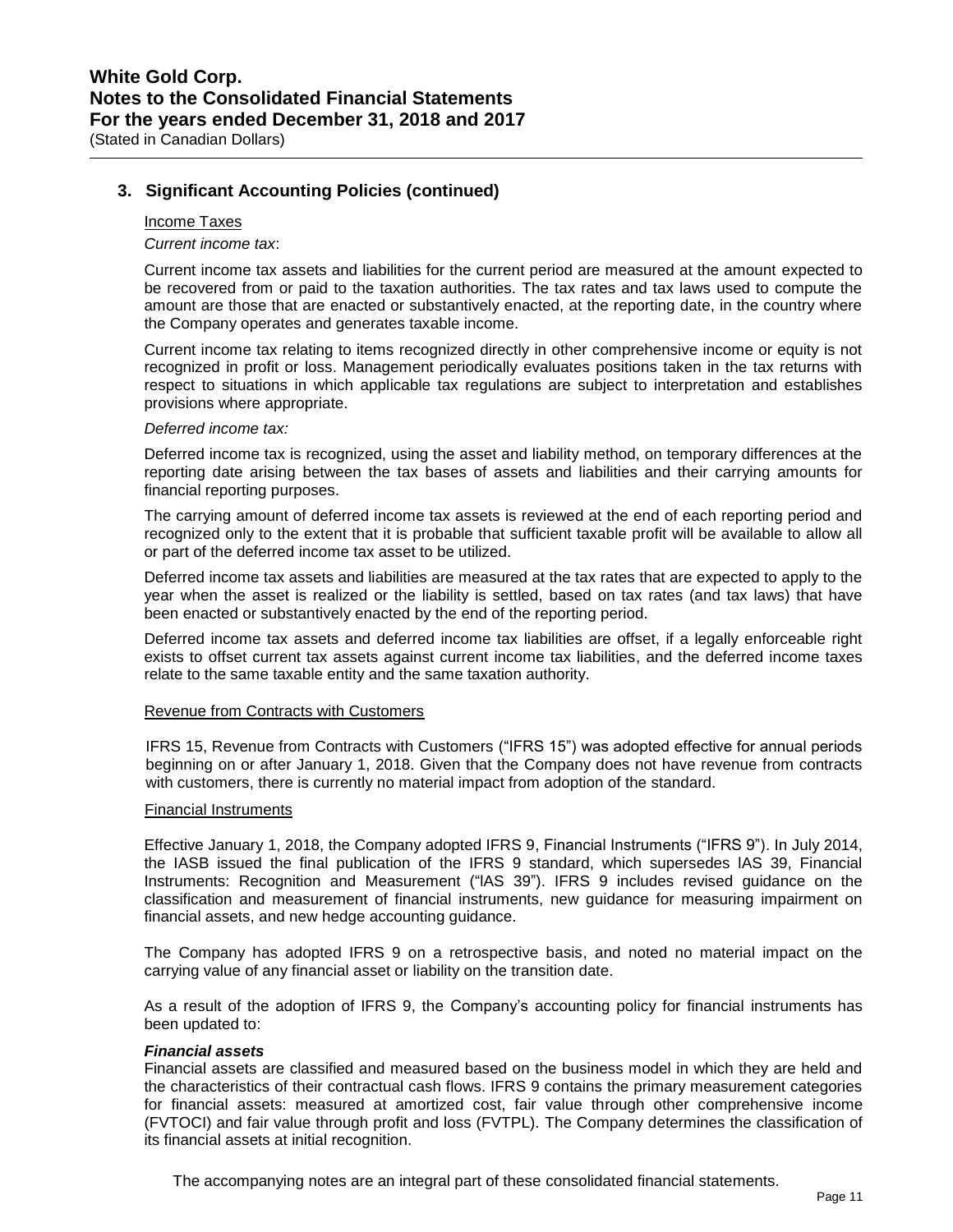# **3. Significant Accounting Policies (continued)**

## Income Taxes

#### *Current income tax*:

Current income tax assets and liabilities for the current period are measured at the amount expected to be recovered from or paid to the taxation authorities. The tax rates and tax laws used to compute the amount are those that are enacted or substantively enacted, at the reporting date, in the country where the Company operates and generates taxable income.

Current income tax relating to items recognized directly in other comprehensive income or equity is not recognized in profit or loss. Management periodically evaluates positions taken in the tax returns with respect to situations in which applicable tax regulations are subject to interpretation and establishes provisions where appropriate.

## *Deferred income tax:*

Deferred income tax is recognized, using the asset and liability method, on temporary differences at the reporting date arising between the tax bases of assets and liabilities and their carrying amounts for financial reporting purposes.

The carrying amount of deferred income tax assets is reviewed at the end of each reporting period and recognized only to the extent that it is probable that sufficient taxable profit will be available to allow all or part of the deferred income tax asset to be utilized.

Deferred income tax assets and liabilities are measured at the tax rates that are expected to apply to the year when the asset is realized or the liability is settled, based on tax rates (and tax laws) that have been enacted or substantively enacted by the end of the reporting period.

Deferred income tax assets and deferred income tax liabilities are offset, if a legally enforceable right exists to offset current tax assets against current income tax liabilities, and the deferred income taxes relate to the same taxable entity and the same taxation authority.

#### Revenue from Contracts with Customers

IFRS 15, Revenue from Contracts with Customers ("IFRS 15") was adopted effective for annual periods beginning on or after January 1, 2018. Given that the Company does not have revenue from contracts with customers, there is currently no material impact from adoption of the standard.

#### Financial Instruments

Effective January 1, 2018, the Company adopted IFRS 9, Financial Instruments ("IFRS 9"). In July 2014, the IASB issued the final publication of the IFRS 9 standard, which supersedes lAS 39, Financial Instruments: Recognition and Measurement ("lAS 39"). IFRS 9 includes revised guidance on the classification and measurement of financial instruments, new guidance for measuring impairment on financial assets, and new hedge accounting guidance.

The Company has adopted IFRS 9 on a retrospective basis, and noted no material impact on the carrying value of any financial asset or liability on the transition date.

As a result of the adoption of IFRS 9, the Company's accounting policy for financial instruments has been updated to:

#### *Financial assets*

Financial assets are classified and measured based on the business model in which they are held and the characteristics of their contractual cash flows. IFRS 9 contains the primary measurement categories for financial assets: measured at amortized cost, fair value through other comprehensive income (FVTOCI) and fair value through profit and loss (FVTPL). The Company determines the classification of its financial assets at initial recognition.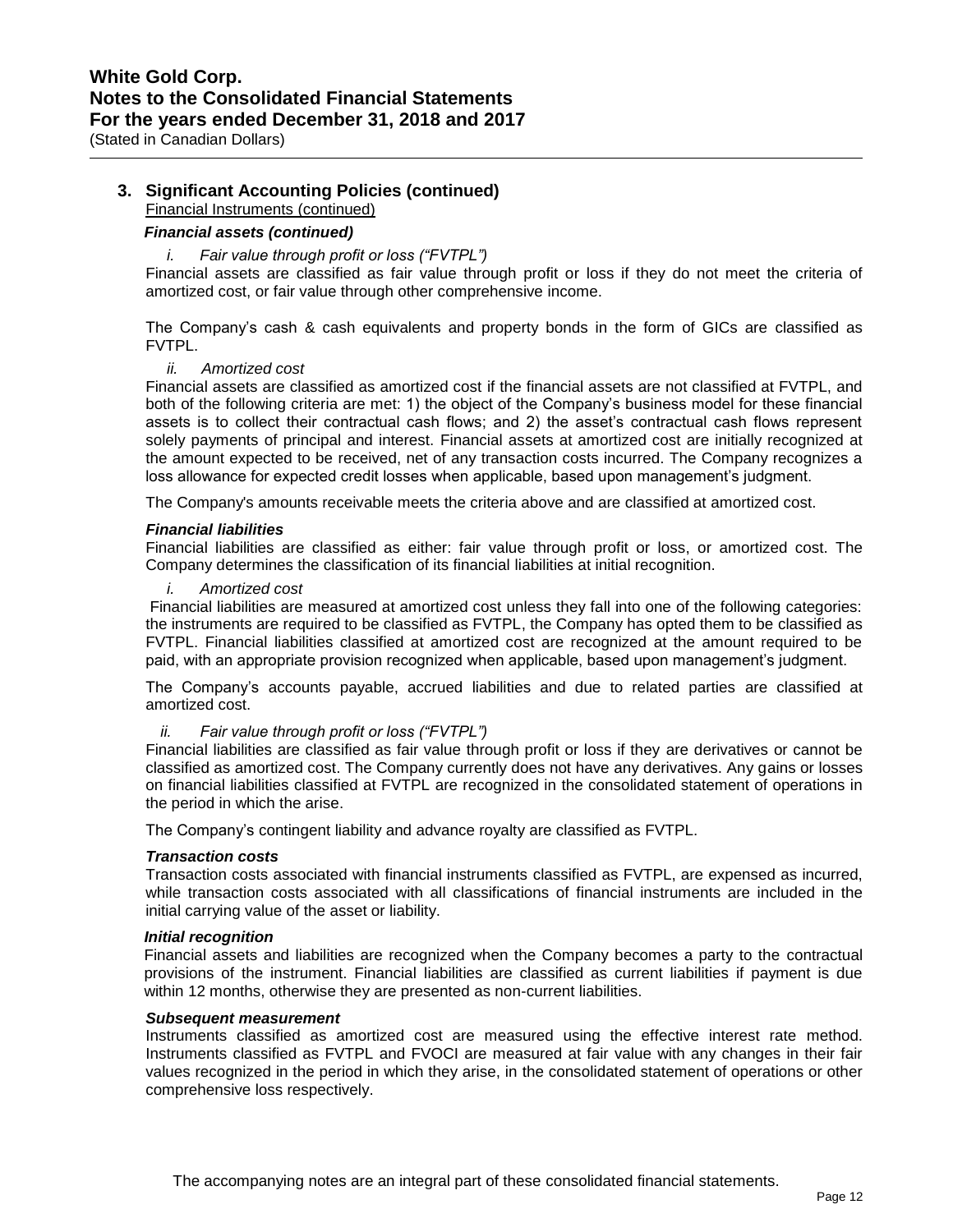# **3. Significant Accounting Policies (continued)**

Financial Instruments (continued)

## *Financial assets (continued)*

# *i. Fair value through profit or loss ("FVTPL")*

Financial assets are classified as fair value through profit or loss if they do not meet the criteria of amortized cost, or fair value through other comprehensive income.

The Company's cash & cash equivalents and property bonds in the form of GICs are classified as FVTPL.

## *ii. Amortized cost*

Financial assets are classified as amortized cost if the financial assets are not classified at FVTPL, and both of the following criteria are met: 1) the object of the Company's business model for these financial assets is to collect their contractual cash flows; and 2) the asset's contractual cash flows represent solely payments of principal and interest. Financial assets at amortized cost are initially recognized at the amount expected to be received, net of any transaction costs incurred. The Company recognizes a loss allowance for expected credit losses when applicable, based upon management's judgment.

The Company's amounts receivable meets the criteria above and are classified at amortized cost.

## *Financial liabilities*

Financial liabilities are classified as either: fair value through profit or loss, or amortized cost. The Company determines the classification of its financial liabilities at initial recognition.

#### *i. Amortized cost*

Financial liabilities are measured at amortized cost unless they fall into one of the following categories: the instruments are required to be classified as FVTPL, the Company has opted them to be classified as FVTPL. Financial liabilities classified at amortized cost are recognized at the amount required to be paid, with an appropriate provision recognized when applicable, based upon management's judgment.

The Company's accounts payable, accrued liabilities and due to related parties are classified at amortized cost.

## *ii. Fair value through profit or loss ("FVTPL")*

Financial liabilities are classified as fair value through profit or loss if they are derivatives or cannot be classified as amortized cost. The Company currently does not have any derivatives. Any gains or losses on financial liabilities classified at FVTPL are recognized in the consolidated statement of operations in the period in which the arise.

The Company's contingent liability and advance royalty are classified as FVTPL.

## *Transaction costs*

Transaction costs associated with financial instruments classified as FVTPL, are expensed as incurred, while transaction costs associated with all classifications of financial instruments are included in the initial carrying value of the asset or liability.

#### *Initial recognition*

Financial assets and liabilities are recognized when the Company becomes a party to the contractual provisions of the instrument. Financial liabilities are classified as current liabilities if payment is due within 12 months, otherwise they are presented as non-current liabilities.

#### *Subsequent measurement*

Instruments classified as amortized cost are measured using the effective interest rate method. Instruments classified as FVTPL and FVOCI are measured at fair value with any changes in their fair values recognized in the period in which they arise, in the consolidated statement of operations or other comprehensive loss respectively.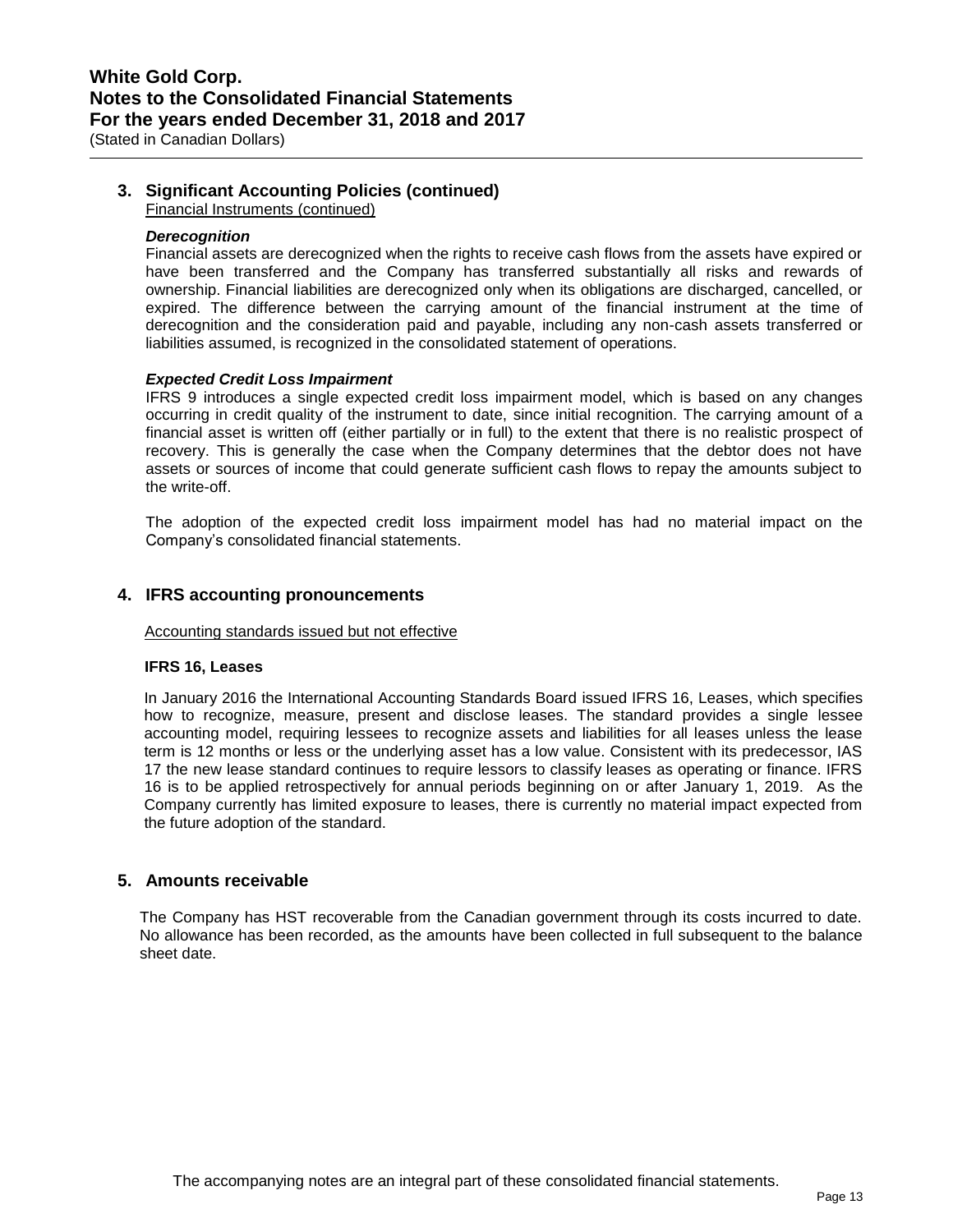# **3. Significant Accounting Policies (continued)**

Financial Instruments (continued)

## *Derecognition*

Financial assets are derecognized when the rights to receive cash flows from the assets have expired or have been transferred and the Company has transferred substantially all risks and rewards of ownership. Financial liabilities are derecognized only when its obligations are discharged, cancelled, or expired. The difference between the carrying amount of the financial instrument at the time of derecognition and the consideration paid and payable, including any non-cash assets transferred or liabilities assumed, is recognized in the consolidated statement of operations.

## *Expected Credit Loss Impairment*

IFRS 9 introduces a single expected credit loss impairment model, which is based on any changes occurring in credit quality of the instrument to date, since initial recognition. The carrying amount of a financial asset is written off (either partially or in full) to the extent that there is no realistic prospect of recovery. This is generally the case when the Company determines that the debtor does not have assets or sources of income that could generate sufficient cash flows to repay the amounts subject to the write-off.

The adoption of the expected credit loss impairment model has had no material impact on the Company's consolidated financial statements.

## **4. IFRS accounting pronouncements**

Accounting standards issued but not effective

#### **IFRS 16, Leases**

In January 2016 the International Accounting Standards Board issued IFRS 16, Leases, which specifies how to recognize, measure, present and disclose leases. The standard provides a single lessee accounting model, requiring lessees to recognize assets and liabilities for all leases unless the lease term is 12 months or less or the underlying asset has a low value. Consistent with its predecessor, IAS 17 the new lease standard continues to require lessors to classify leases as operating or finance. IFRS 16 is to be applied retrospectively for annual periods beginning on or after January 1, 2019. As the Company currently has limited exposure to leases, there is currently no material impact expected from the future adoption of the standard.

## **5. Amounts receivable**

The Company has HST recoverable from the Canadian government through its costs incurred to date. No allowance has been recorded, as the amounts have been collected in full subsequent to the balance sheet date.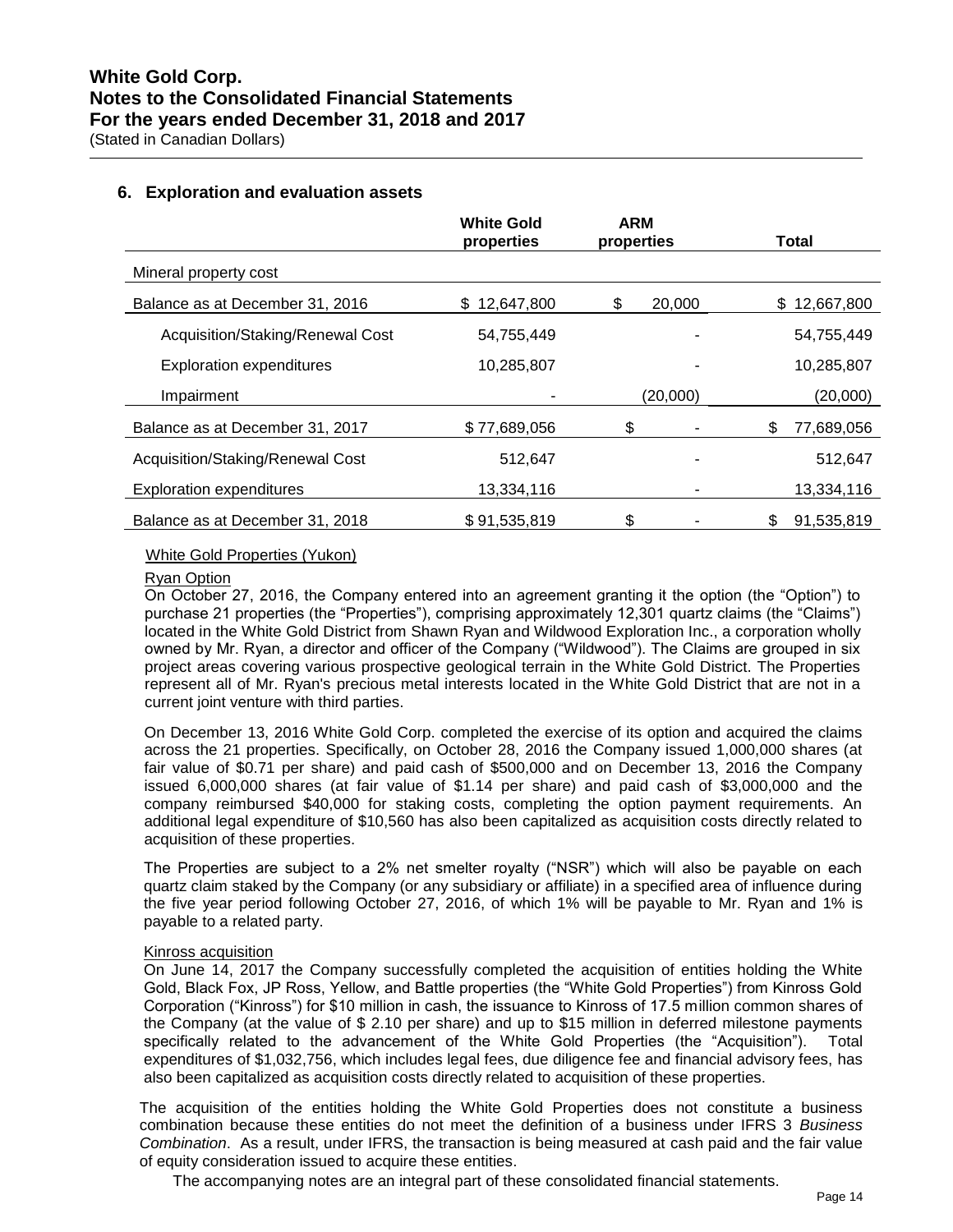## **6. Exploration and evaluation assets**

|                                  | <b>White Gold</b><br>properties | <b>ARM</b><br>properties | Total           |
|----------------------------------|---------------------------------|--------------------------|-----------------|
| Mineral property cost            |                                 |                          |                 |
| Balance as at December 31, 2016  | 12,647,800<br>\$.               | \$<br>20,000             | \$12,667,800    |
| Acquisition/Staking/Renewal Cost | 54,755,449                      |                          | 54,755,449      |
| <b>Exploration expenditures</b>  | 10,285,807                      |                          | 10,285,807      |
| Impairment                       |                                 | (20,000)                 | (20,000)        |
| Balance as at December 31, 2017  | \$77,689,056                    | \$                       | 77,689,056<br>S |
| Acquisition/Staking/Renewal Cost | 512,647                         |                          | 512,647         |
| <b>Exploration expenditures</b>  | 13,334,116                      | ۰                        | 13,334,116      |
| Balance as at December 31, 2018  | \$91,535,819                    | \$                       | 91,535,819<br>S |

## White Gold Properties (Yukon)

#### Ryan Option

On October 27, 2016, the Company entered into an agreement granting it the option (the "Option") to purchase 21 properties (the "Properties"), comprising approximately 12,301 quartz claims (the "Claims") located in the White Gold District from Shawn Ryan and Wildwood Exploration Inc., a corporation wholly owned by Mr. Ryan, a director and officer of the Company ("Wildwood"). The Claims are grouped in six project areas covering various prospective geological terrain in the White Gold District. The Properties represent all of Mr. Ryan's precious metal interests located in the White Gold District that are not in a current joint venture with third parties.

On December 13, 2016 White Gold Corp. completed the exercise of its option and acquired the claims across the 21 properties. Specifically, on October 28, 2016 the Company issued 1,000,000 shares (at fair value of \$0.71 per share) and paid cash of \$500,000 and on December 13, 2016 the Company issued 6,000,000 shares (at fair value of \$1.14 per share) and paid cash of \$3,000,000 and the company reimbursed \$40,000 for staking costs, completing the option payment requirements. An additional legal expenditure of \$10,560 has also been capitalized as acquisition costs directly related to acquisition of these properties.

The Properties are subject to a 2% net smelter royalty ("NSR") which will also be payable on each quartz claim staked by the Company (or any subsidiary or affiliate) in a specified area of influence during the five year period following October 27, 2016, of which 1% will be payable to Mr. Ryan and 1% is payable to a related party.

#### Kinross acquisition

On June 14, 2017 the Company successfully completed the acquisition of entities holding the White Gold, Black Fox, JP Ross, Yellow, and Battle properties (the "White Gold Properties") from Kinross Gold Corporation ("Kinross") for \$10 million in cash, the issuance to Kinross of 17.5 million common shares of the Company (at the value of \$ 2.10 per share) and up to \$15 million in deferred milestone payments specifically related to the advancement of the White Gold Properties (the "Acquisition"). Total expenditures of \$1,032,756, which includes legal fees, due diligence fee and financial advisory fees, has also been capitalized as acquisition costs directly related to acquisition of these properties.

The acquisition of the entities holding the White Gold Properties does not constitute a business combination because these entities do not meet the definition of a business under IFRS 3 *Business Combination*. As a result, under IFRS, the transaction is being measured at cash paid and the fair value of equity consideration issued to acquire these entities.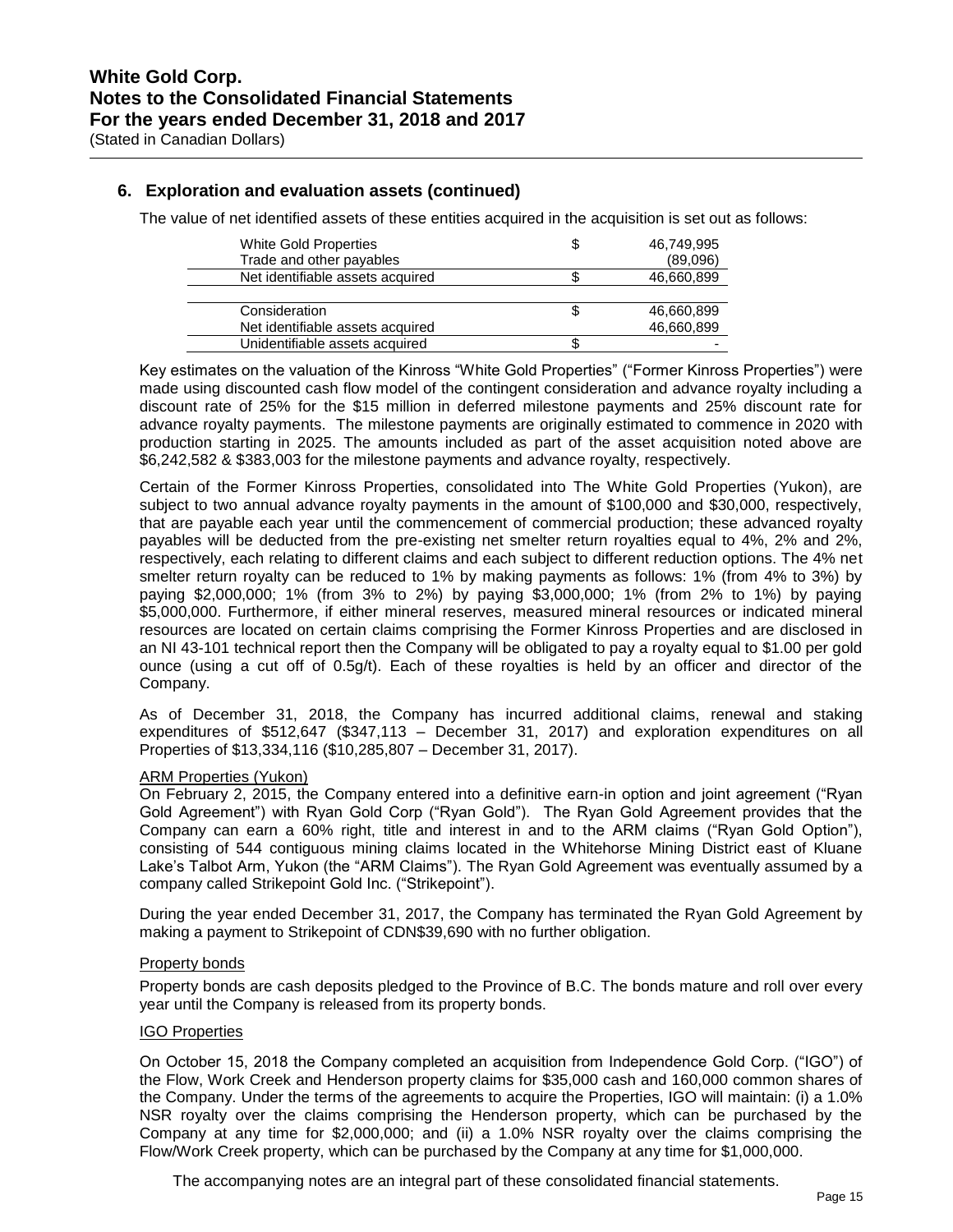# **6. Exploration and evaluation assets (continued)**

The value of net identified assets of these entities acquired in the acquisition is set out as follows:

| White Gold Properties            | \$ | 46,749,995 |
|----------------------------------|----|------------|
| Trade and other payables         |    | (89,096)   |
| Net identifiable assets acquired |    | 46,660,899 |
|                                  |    |            |
| Consideration                    | S  | 46,660,899 |
| Net identifiable assets acquired |    | 46,660,899 |
| Unidentifiable assets acquired   |    |            |

Key estimates on the valuation of the Kinross "White Gold Properties" ("Former Kinross Properties") were made using discounted cash flow model of the contingent consideration and advance royalty including a discount rate of 25% for the \$15 million in deferred milestone payments and 25% discount rate for advance royalty payments. The milestone payments are originally estimated to commence in 2020 with production starting in 2025. The amounts included as part of the asset acquisition noted above are \$6,242,582 & \$383,003 for the milestone payments and advance royalty, respectively.

Certain of the Former Kinross Properties, consolidated into The White Gold Properties (Yukon), are subject to two annual advance royalty payments in the amount of \$100,000 and \$30,000, respectively, that are payable each year until the commencement of commercial production; these advanced royalty payables will be deducted from the pre-existing net smelter return royalties equal to 4%, 2% and 2%, respectively, each relating to different claims and each subject to different reduction options. The 4% net smelter return royalty can be reduced to 1% by making payments as follows: 1% (from 4% to 3%) by paying \$2,000,000; 1% (from 3% to 2%) by paying \$3,000,000; 1% (from 2% to 1%) by paying \$5,000,000. Furthermore, if either mineral reserves, measured mineral resources or indicated mineral resources are located on certain claims comprising the Former Kinross Properties and are disclosed in an NI 43-101 technical report then the Company will be obligated to pay a royalty equal to \$1.00 per gold ounce (using a cut off of 0.5g/t). Each of these royalties is held by an officer and director of the Company.

As of December 31, 2018, the Company has incurred additional claims, renewal and staking expenditures of \$512,647 (\$347,113 – December 31, 2017) and exploration expenditures on all Properties of \$13,334,116 (\$10,285,807 – December 31, 2017).

#### ARM Properties (Yukon)

On February 2, 2015, the Company entered into a definitive earn-in option and joint agreement ("Ryan Gold Agreement") with Ryan Gold Corp ("Ryan Gold"). The Ryan Gold Agreement provides that the Company can earn a 60% right, title and interest in and to the ARM claims ("Ryan Gold Option"), consisting of 544 contiguous mining claims located in the Whitehorse Mining District east of Kluane Lake's Talbot Arm, Yukon (the "ARM Claims"). The Ryan Gold Agreement was eventually assumed by a company called Strikepoint Gold Inc. ("Strikepoint").

During the year ended December 31, 2017, the Company has terminated the Ryan Gold Agreement by making a payment to Strikepoint of CDN\$39,690 with no further obligation.

#### Property bonds

Property bonds are cash deposits pledged to the Province of B.C. The bonds mature and roll over every year until the Company is released from its property bonds.

#### IGO Properties

On October 15, 2018 the Company completed an acquisition from Independence Gold Corp. ("IGO") of the Flow, Work Creek and Henderson property claims for \$35,000 cash and 160,000 common shares of the Company. Under the terms of the agreements to acquire the Properties, IGO will maintain: (i) a 1.0% NSR royalty over the claims comprising the Henderson property, which can be purchased by the Company at any time for \$2,000,000; and (ii) a 1.0% NSR royalty over the claims comprising the Flow/Work Creek property, which can be purchased by the Company at any time for \$1,000,000.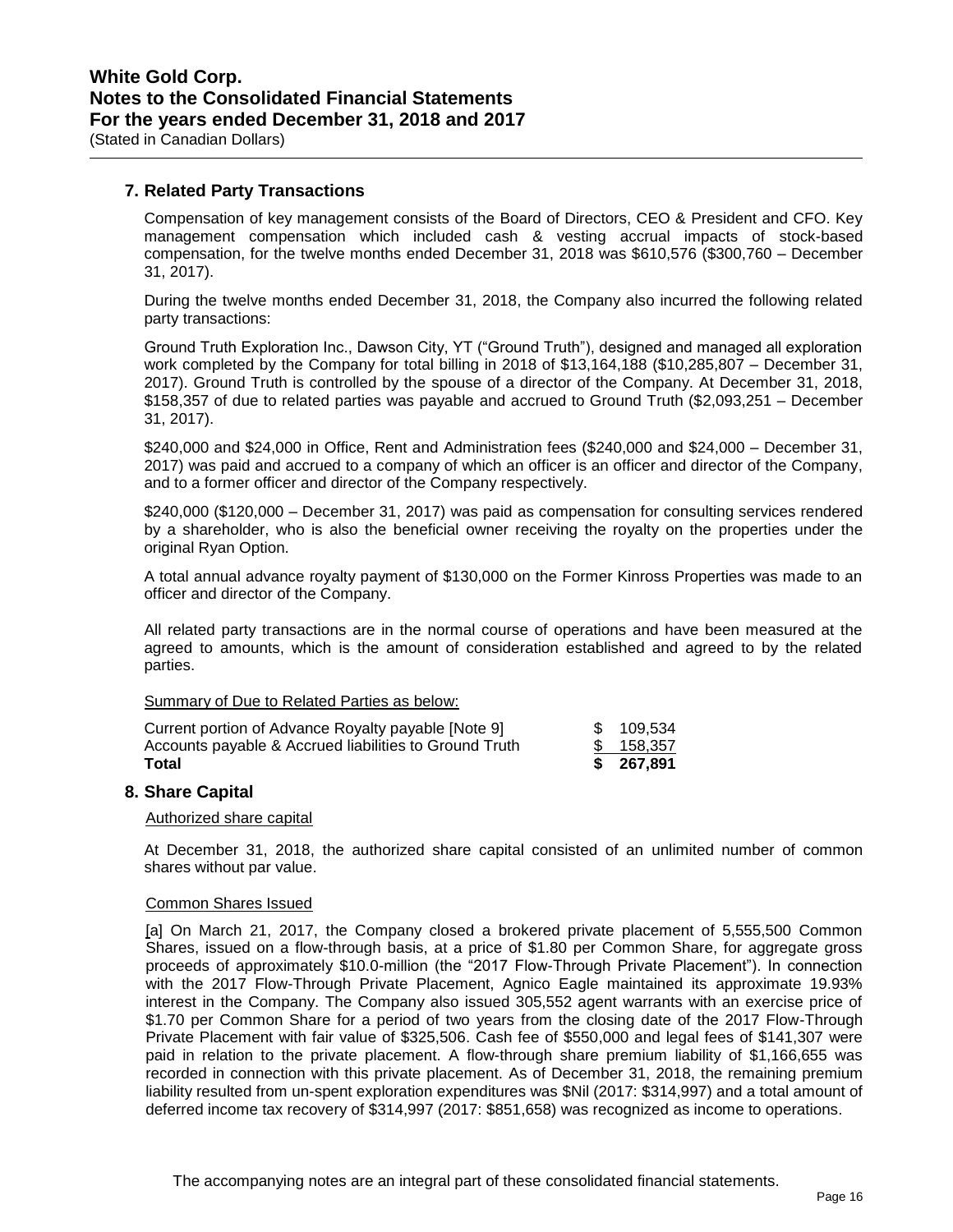# **7. Related Party Transactions**

Compensation of key management consists of the Board of Directors, CEO & President and CFO. Key management compensation which included cash & vesting accrual impacts of stock-based compensation, for the twelve months ended December 31, 2018 was \$610,576 (\$300,760 – December 31, 2017).

During the twelve months ended December 31, 2018, the Company also incurred the following related party transactions:

Ground Truth Exploration Inc., Dawson City, YT ("Ground Truth"), designed and managed all exploration work completed by the Company for total billing in 2018 of \$13,164,188 (\$10,285,807 – December 31, 2017). Ground Truth is controlled by the spouse of a director of the Company. At December 31, 2018, \$158,357 of due to related parties was payable and accrued to Ground Truth (\$2,093,251 – December 31, 2017).

\$240,000 and \$24,000 in Office, Rent and Administration fees (\$240,000 and \$24,000 – December 31, 2017) was paid and accrued to a company of which an officer is an officer and director of the Company, and to a former officer and director of the Company respectively.

\$240,000 (\$120,000 – December 31, 2017) was paid as compensation for consulting services rendered by a shareholder, who is also the beneficial owner receiving the royalty on the properties under the original Ryan Option.

A total annual advance royalty payment of \$130,000 on the Former Kinross Properties was made to an officer and director of the Company.

All related party transactions are in the normal course of operations and have been measured at the agreed to amounts, which is the amount of consideration established and agreed to by the related parties.

## Summary of Due to Related Parties as below:

| Current portion of Advance Royalty payable [Note 9]    | \$109.534  |
|--------------------------------------------------------|------------|
| Accounts payable & Accrued liabilities to Ground Truth | \$ 158,357 |
| Total                                                  | \$ 267.891 |

## **8. Share Capital**

#### Authorized share capital

At December 31, 2018, the authorized share capital consisted of an unlimited number of common shares without par value.

#### Common Shares Issued

[a] On March 21, 2017, the Company closed a brokered private placement of 5,555,500 Common Shares, issued on a flow-through basis, at a price of \$1.80 per Common Share, for aggregate gross proceeds of approximately \$10.0-million (the "2017 Flow-Through Private Placement"). In connection with the 2017 Flow-Through Private Placement, Agnico Eagle maintained its approximate 19.93% interest in the Company. The Company also issued 305,552 agent warrants with an exercise price of \$1.70 per Common Share for a period of two years from the closing date of the 2017 Flow-Through Private Placement with fair value of \$325,506. Cash fee of \$550,000 and legal fees of \$141,307 were paid in relation to the private placement. A flow-through share premium liability of \$1,166,655 was recorded in connection with this private placement. As of December 31, 2018, the remaining premium liability resulted from un-spent exploration expenditures was \$Nil (2017: \$314,997) and a total amount of deferred income tax recovery of \$314,997 (2017: \$851,658) was recognized as income to operations.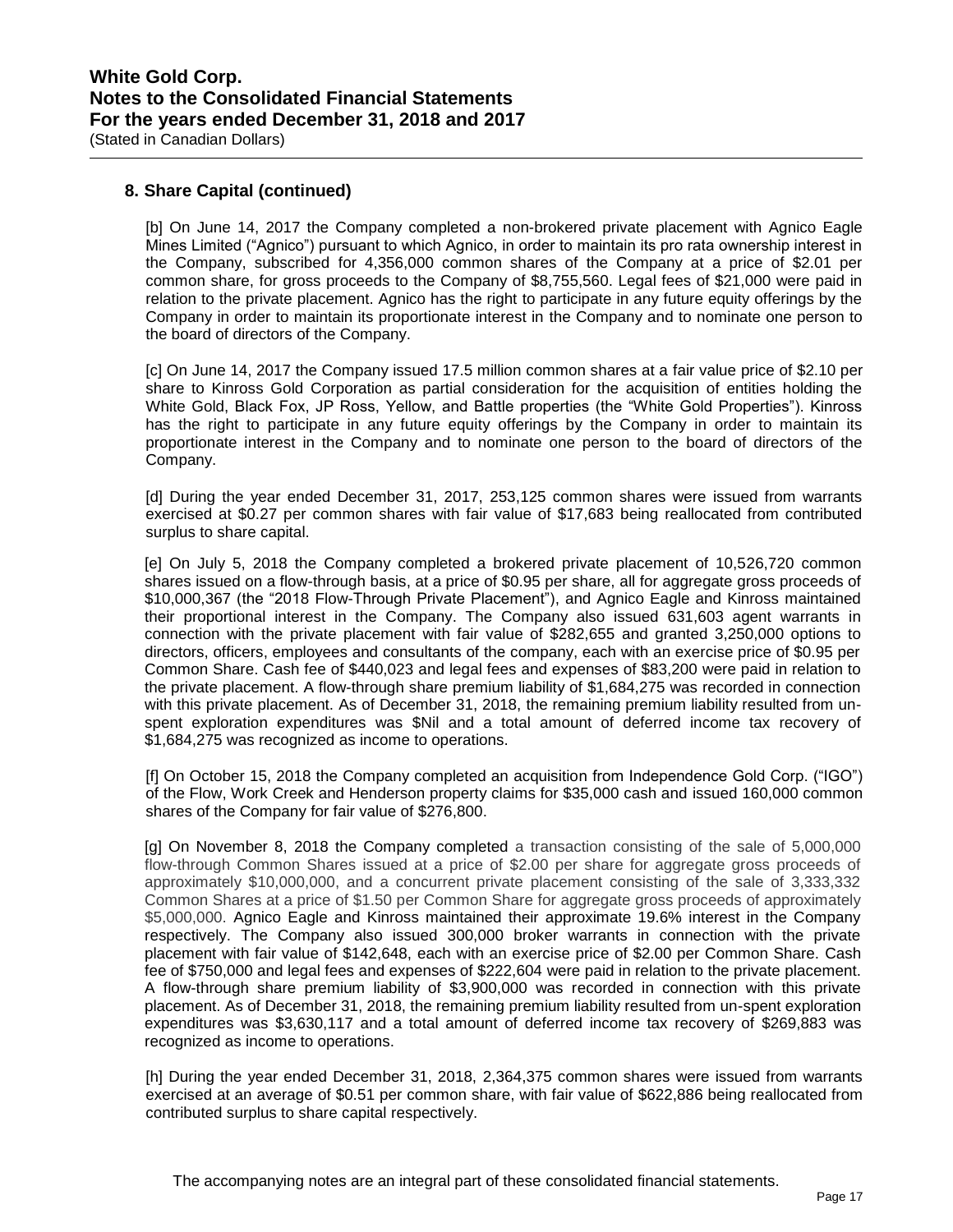# **8. Share Capital (continued)**

[b] On June 14, 2017 the Company completed a non-brokered private placement with Agnico Eagle Mines Limited ("Agnico") pursuant to which Agnico, in order to maintain its pro rata ownership interest in the Company, subscribed for 4,356,000 common shares of the Company at a price of \$2.01 per common share, for gross proceeds to the Company of \$8,755,560. Legal fees of \$21,000 were paid in relation to the private placement. Agnico has the right to participate in any future equity offerings by the Company in order to maintain its proportionate interest in the Company and to nominate one person to the board of directors of the Company.

[c] On June 14, 2017 the Company issued 17.5 million common shares at a fair value price of \$2.10 per share to Kinross Gold Corporation as partial consideration for the acquisition of entities holding the White Gold, Black Fox, JP Ross, Yellow, and Battle properties (the "White Gold Properties"). Kinross has the right to participate in any future equity offerings by the Company in order to maintain its proportionate interest in the Company and to nominate one person to the board of directors of the Company.

[d] During the year ended December 31, 2017, 253,125 common shares were issued from warrants exercised at \$0.27 per common shares with fair value of \$17,683 being reallocated from contributed surplus to share capital.

[e] On July 5, 2018 the Company completed a brokered private placement of 10,526,720 common shares issued on a flow-through basis, at a price of \$0.95 per share, all for aggregate gross proceeds of \$10,000,367 (the "2018 Flow-Through Private Placement"), and Agnico Eagle and Kinross maintained their proportional interest in the Company. The Company also issued 631,603 agent warrants in connection with the private placement with fair value of \$282,655 and granted 3,250,000 options to directors, officers, employees and consultants of the company, each with an exercise price of \$0.95 per Common Share. Cash fee of \$440,023 and legal fees and expenses of \$83,200 were paid in relation to the private placement. A flow-through share premium liability of \$1,684,275 was recorded in connection with this private placement. As of December 31, 2018, the remaining premium liability resulted from unspent exploration expenditures was \$Nil and a total amount of deferred income tax recovery of \$1,684,275 was recognized as income to operations.

[f] On October 15, 2018 the Company completed an acquisition from Independence Gold Corp. ("IGO") of the Flow, Work Creek and Henderson property claims for \$35,000 cash and issued 160,000 common shares of the Company for fair value of \$276,800.

[g] On November 8, 2018 the Company completed a transaction consisting of the sale of 5,000,000 flow-through Common Shares issued at a price of \$2.00 per share for aggregate gross proceeds of approximately \$10,000,000, and a concurrent private placement consisting of the sale of 3,333,332 Common Shares at a price of \$1.50 per Common Share for aggregate gross proceeds of approximately \$5,000,000. Agnico Eagle and Kinross maintained their approximate 19.6% interest in the Company respectively. The Company also issued 300,000 broker warrants in connection with the private placement with fair value of \$142,648, each with an exercise price of \$2.00 per Common Share. Cash fee of \$750,000 and legal fees and expenses of \$222,604 were paid in relation to the private placement. A flow-through share premium liability of \$3,900,000 was recorded in connection with this private placement. As of December 31, 2018, the remaining premium liability resulted from un-spent exploration expenditures was \$3,630,117 and a total amount of deferred income tax recovery of \$269,883 was recognized as income to operations.

[h] During the year ended December 31, 2018, 2,364,375 common shares were issued from warrants exercised at an average of \$0.51 per common share, with fair value of \$622,886 being reallocated from contributed surplus to share capital respectively.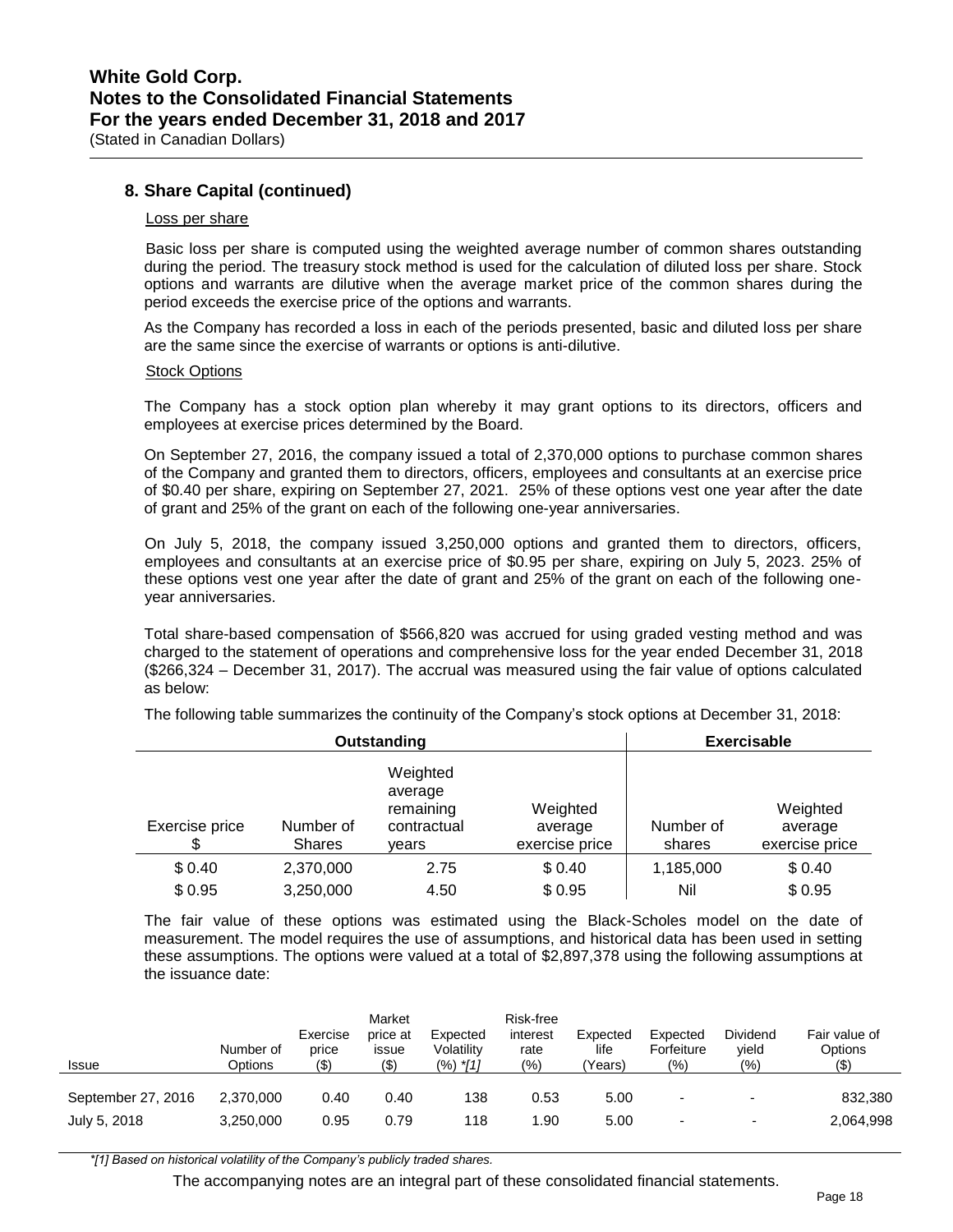# **8. Share Capital (continued)**

#### Loss per share

Basic loss per share is computed using the weighted average number of common shares outstanding during the period. The treasury stock method is used for the calculation of diluted loss per share. Stock options and warrants are dilutive when the average market price of the common shares during the period exceeds the exercise price of the options and warrants.

As the Company has recorded a loss in each of the periods presented, basic and diluted loss per share are the same since the exercise of warrants or options is anti-dilutive.

#### Stock Options

The Company has a stock option plan whereby it may grant options to its directors, officers and employees at exercise prices determined by the Board.

On September 27, 2016, the company issued a total of 2,370,000 options to purchase common shares of the Company and granted them to directors, officers, employees and consultants at an exercise price of \$0.40 per share, expiring on September 27, 2021. 25% of these options vest one year after the date of grant and 25% of the grant on each of the following one-year anniversaries.

On July 5, 2018, the company issued 3,250,000 options and granted them to directors, officers, employees and consultants at an exercise price of \$0.95 per share, expiring on July 5, 2023. 25% of these options vest one year after the date of grant and 25% of the grant on each of the following oneyear anniversaries.

Total share-based compensation of \$566,820 was accrued for using graded vesting method and was charged to the statement of operations and comprehensive loss for the year ended December 31, 2018 (\$266,324 – December 31, 2017). The accrual was measured using the fair value of options calculated as below:

The following table summarizes the continuity of the Company's stock options at December 31, 2018:

|                | Outstanding                |                                                          | <b>Exercisable</b>                    |                     |                                       |
|----------------|----------------------------|----------------------------------------------------------|---------------------------------------|---------------------|---------------------------------------|
| Exercise price | Number of<br><b>Shares</b> | Weighted<br>average<br>remaining<br>contractual<br>vears | Weighted<br>average<br>exercise price | Number of<br>shares | Weighted<br>average<br>exercise price |
| \$0.40         | 2,370,000                  | 2.75                                                     | \$0.40                                | 1,185,000           | \$0.40                                |
| \$0.95         | 3,250,000                  | 4.50                                                     | \$0.95                                | Nil                 | \$0.95                                |

The fair value of these options was estimated using the Black-Scholes model on the date of measurement. The model requires the use of assumptions, and historical data has been used in setting these assumptions. The options were valued at a total of \$2,897,378 using the following assumptions at the issuance date:

| <b>Issue</b>       | Number of<br>Options | Exercise<br>price<br>(\$) | Market<br>price at<br>issue<br>(\$) | Expected<br>Volatilitv<br>*[1]<br>$\frac{1}{2}$ | Risk-free<br>interest<br>rate<br>(9) | Expected<br>life<br>'Years) | Expected<br>Forfeiture<br>(9) | Dividend<br>vield<br>(%) | Fair value of<br>Options<br>(\$) |
|--------------------|----------------------|---------------------------|-------------------------------------|-------------------------------------------------|--------------------------------------|-----------------------------|-------------------------------|--------------------------|----------------------------------|
| September 27, 2016 | 2.370.000            | 0.40                      | 0.40                                | 138                                             | 0.53                                 | 5.00                        | $\overline{\phantom{0}}$      | $\overline{\phantom{0}}$ | 832,380                          |
| July 5, 2018       | 3,250,000            | 0.95                      | 0.79                                | 118                                             | 1.90                                 | 5.00                        | -                             | $\overline{\phantom{0}}$ | 2,064,998                        |

*\*[1] Based on historical volatility of the Company's publicly traded shares.*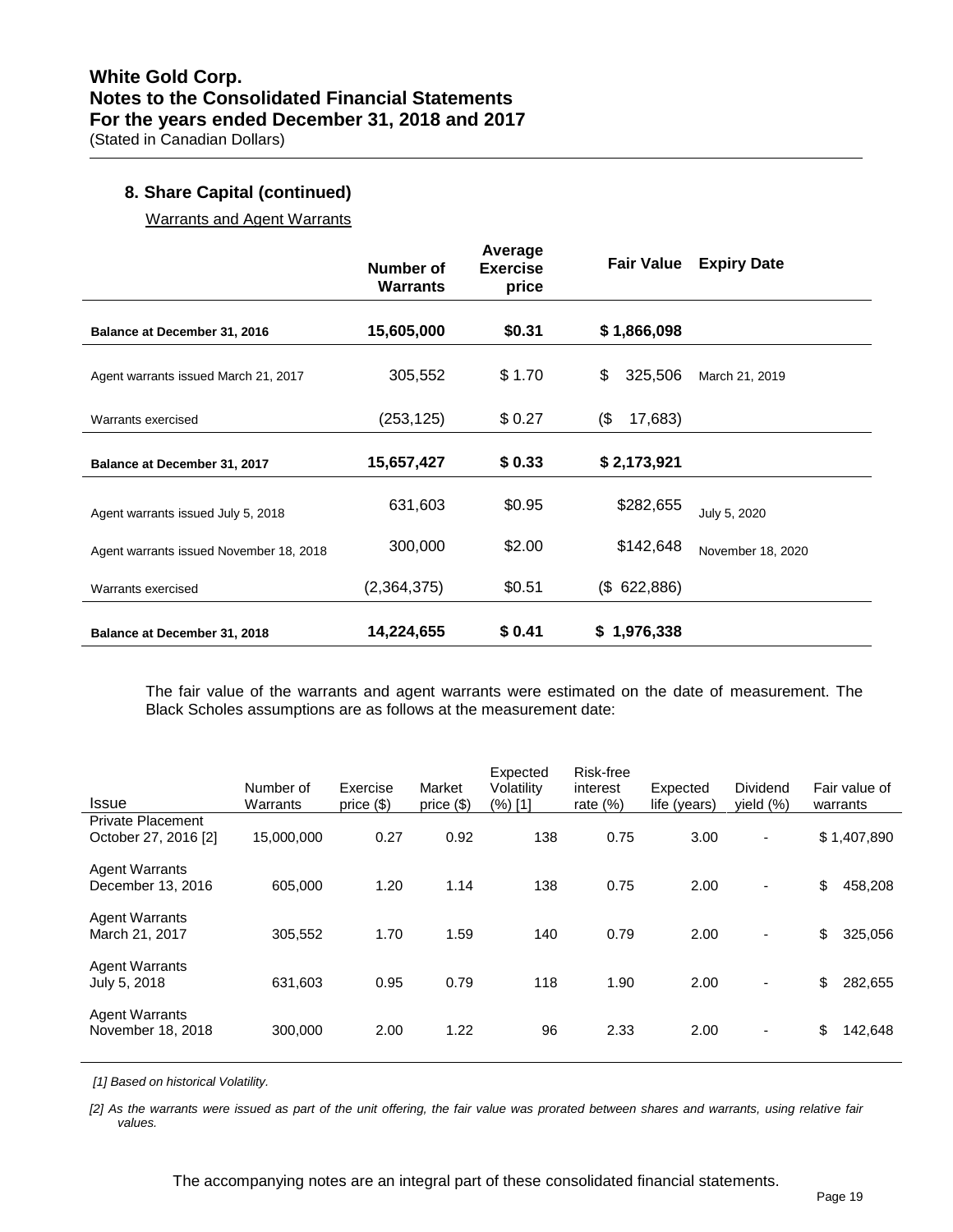# **8. Share Capital (continued)**

Warrants and Agent Warrants

|                                         | Number of<br><b>Warrants</b> | Average<br><b>Exercise</b><br>price | <b>Fair Value</b> | <b>Expiry Date</b> |
|-----------------------------------------|------------------------------|-------------------------------------|-------------------|--------------------|
| Balance at December 31, 2016            | 15,605,000                   | \$0.31                              | \$1,866,098       |                    |
| Agent warrants issued March 21, 2017    | 305,552                      | \$1.70                              | \$<br>325,506     | March 21, 2019     |
| Warrants exercised                      | (253, 125)                   | \$0.27                              | $($ \$<br>17,683) |                    |
| Balance at December 31, 2017            | 15,657,427                   | \$0.33                              | \$2,173,921       |                    |
| Agent warrants issued July 5, 2018      | 631,603                      | \$0.95                              | \$282,655         | July 5, 2020       |
| Agent warrants issued November 18, 2018 | 300,000                      | \$2.00                              | \$142,648         | November 18, 2020  |
| Warrants exercised                      | (2,364,375)                  | \$0.51                              | (\$622,886)       |                    |
| Balance at December 31, 2018            | 14,224,655                   | \$0.41                              | \$1,976,338       |                    |

The fair value of the warrants and agent warrants were estimated on the date of measurement. The Black Scholes assumptions are as follows at the measurement date:

| <b>Issue</b>                                     | Number of<br>Warrants | Exercise<br>price $(\$)$ | Market<br>price $(\$)$ | Expected<br>Volatility<br>(%) [1] | Risk-free<br>interest<br>rate $(\%)$ | Expected<br>life (years) | Dividend<br>vield (%)    | Fair value of<br>warrants |
|--------------------------------------------------|-----------------------|--------------------------|------------------------|-----------------------------------|--------------------------------------|--------------------------|--------------------------|---------------------------|
| <b>Private Placement</b><br>October 27, 2016 [2] | 15,000,000            | 0.27                     | 0.92                   | 138                               | 0.75                                 | 3.00                     | $\overline{\phantom{a}}$ | \$1,407,890               |
| <b>Agent Warrants</b><br>December 13, 2016       | 605.000               | 1.20                     | 1.14                   | 138                               | 0.75                                 | 2.00                     | $\blacksquare$           | \$<br>458,208             |
| <b>Agent Warrants</b><br>March 21, 2017          | 305,552               | 1.70                     | 1.59                   | 140                               | 0.79                                 | 2.00                     | $\overline{\phantom{a}}$ | \$<br>325,056             |
| <b>Agent Warrants</b><br>July 5, 2018            | 631,603               | 0.95                     | 0.79                   | 118                               | 1.90                                 | 2.00                     | $\overline{\phantom{a}}$ | \$<br>282,655             |
| <b>Agent Warrants</b><br>November 18, 2018       | 300,000               | 2.00                     | 1.22                   | 96                                | 2.33                                 | 2.00                     | ٠                        | \$<br>142,648             |

*[1] Based on historical Volatility.*

*[2] As the warrants were issued as part of the unit offering, the fair value was prorated between shares and warrants, using relative fair values.*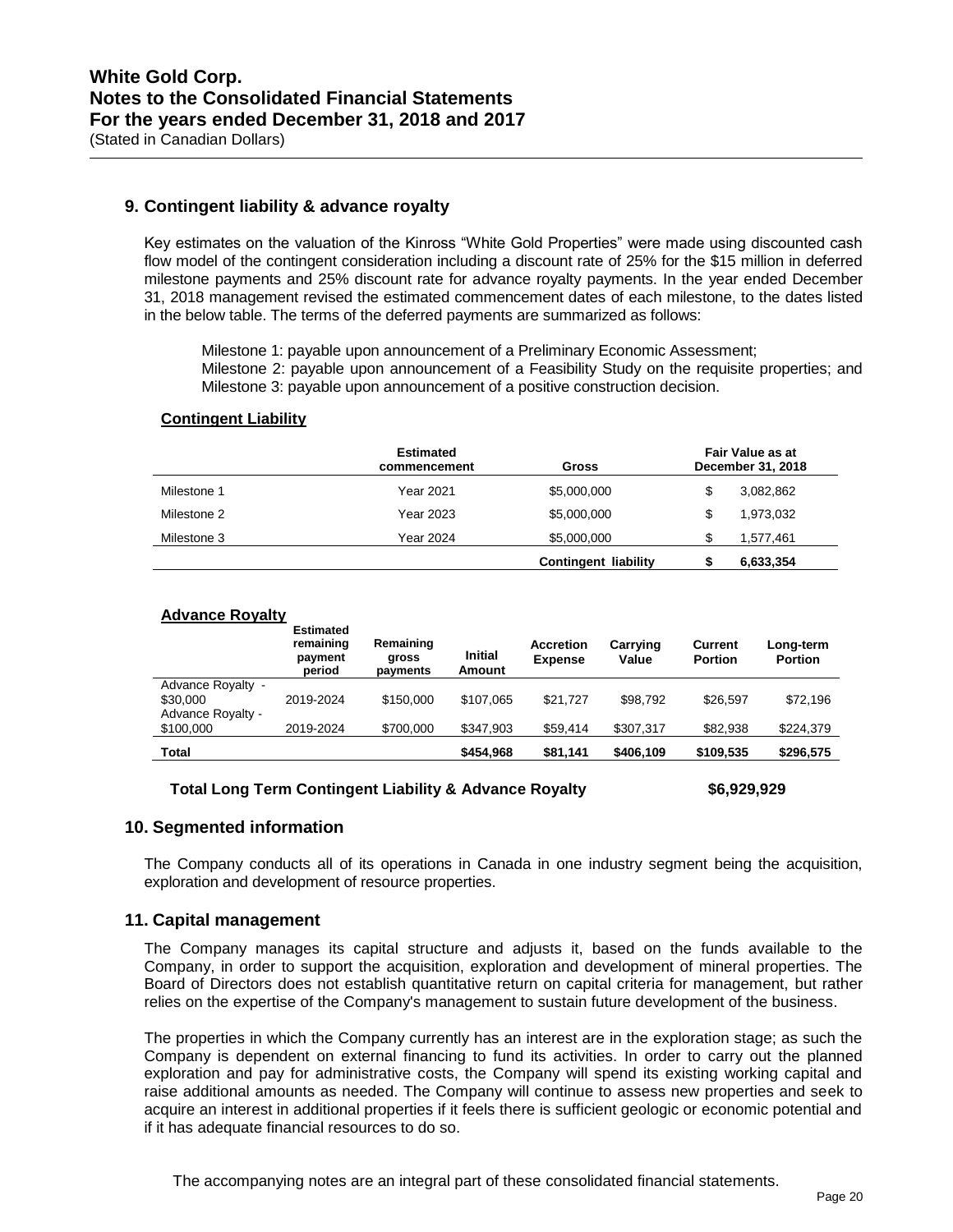## **9. Contingent liability & advance royalty**

Key estimates on the valuation of the Kinross "White Gold Properties" were made using discounted cash flow model of the contingent consideration including a discount rate of 25% for the \$15 million in deferred milestone payments and 25% discount rate for advance royalty payments. In the year ended December 31, 2018 management revised the estimated commencement dates of each milestone, to the dates listed in the below table. The terms of the deferred payments are summarized as follows:

Milestone 1: payable upon announcement of a Preliminary Economic Assessment; Milestone 2: payable upon announcement of a Feasibility Study on the requisite properties; and Milestone 3: payable upon announcement of a positive construction decision.

## **Contingent Liability**

|             | <b>Estimated</b><br>commencement | Gross                       |    | <b>Fair Value as at</b><br>December 31, 2018 |
|-------------|----------------------------------|-----------------------------|----|----------------------------------------------|
| Milestone 1 | Year 2021                        | \$5,000,000                 | \$ | 3,082,862                                    |
| Milestone 2 | Year 2023                        | \$5,000,000                 | \$ | 1,973,032                                    |
| Milestone 3 | Year 2024                        | \$5,000,000                 | S  | 1,577,461                                    |
|             |                                  | <b>Contingent liability</b> |    | 6,633,354                                    |

## **Advance Royalty**

|                   | <b>Estimated</b><br>remaining<br>payment<br>period | Remaining<br>gross<br>payments | <b>Initial</b><br><b>Amount</b> | <b>Accretion</b><br><b>Expense</b> | Carrying<br>Value | Current<br><b>Portion</b> | Long-term<br><b>Portion</b> |
|-------------------|----------------------------------------------------|--------------------------------|---------------------------------|------------------------------------|-------------------|---------------------------|-----------------------------|
| Advance Royalty - |                                                    |                                |                                 |                                    |                   |                           |                             |
| \$30,000          | 2019-2024                                          | \$150,000                      | \$107.065                       | \$21.727                           | \$98,792          | \$26,597                  | \$72.196                    |
| Advance Royalty - |                                                    |                                |                                 |                                    |                   |                           |                             |
| \$100,000         | 2019-2024                                          | \$700,000                      | \$347.903                       | \$59.414                           | \$307.317         | \$82,938                  | \$224,379                   |
| Total             |                                                    |                                | \$454.968                       | \$81,141                           | \$406,109         | \$109.535                 | \$296,575                   |

## **Total Long Term Contingent Liability & Advance Royalty \$6,929,929**

## **10. Segmented information**

The Company conducts all of its operations in Canada in one industry segment being the acquisition, exploration and development of resource properties.

## **11. Capital management**

The Company manages its capital structure and adjusts it, based on the funds available to the Company, in order to support the acquisition, exploration and development of mineral properties. The Board of Directors does not establish quantitative return on capital criteria for management, but rather relies on the expertise of the Company's management to sustain future development of the business.

The properties in which the Company currently has an interest are in the exploration stage; as such the Company is dependent on external financing to fund its activities. In order to carry out the planned exploration and pay for administrative costs, the Company will spend its existing working capital and raise additional amounts as needed. The Company will continue to assess new properties and seek to acquire an interest in additional properties if it feels there is sufficient geologic or economic potential and if it has adequate financial resources to do so.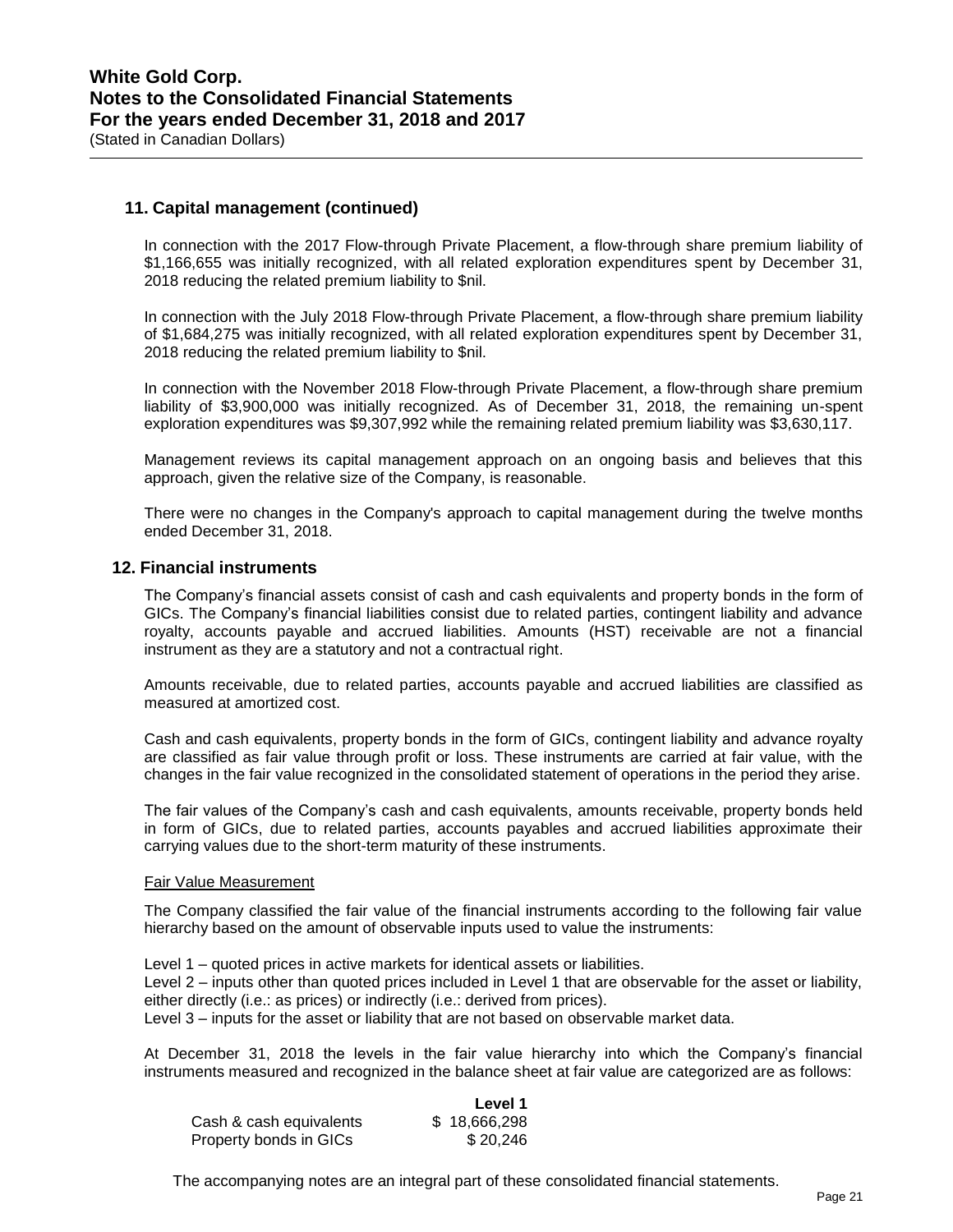## **11. Capital management (continued)**

In connection with the 2017 Flow-through Private Placement, a flow-through share premium liability of \$1,166,655 was initially recognized, with all related exploration expenditures spent by December 31, 2018 reducing the related premium liability to \$nil.

In connection with the July 2018 Flow-through Private Placement, a flow-through share premium liability of \$1,684,275 was initially recognized, with all related exploration expenditures spent by December 31, 2018 reducing the related premium liability to \$nil.

In connection with the November 2018 Flow-through Private Placement, a flow-through share premium liability of \$3,900,000 was initially recognized. As of December 31, 2018, the remaining un-spent exploration expenditures was \$9,307,992 while the remaining related premium liability was \$3,630,117.

Management reviews its capital management approach on an ongoing basis and believes that this approach, given the relative size of the Company, is reasonable.

There were no changes in the Company's approach to capital management during the twelve months ended December 31, 2018.

## **12. Financial instruments**

The Company's financial assets consist of cash and cash equivalents and property bonds in the form of GICs. The Company's financial liabilities consist due to related parties, contingent liability and advance royalty, accounts payable and accrued liabilities. Amounts (HST) receivable are not a financial instrument as they are a statutory and not a contractual right.

Amounts receivable, due to related parties, accounts payable and accrued liabilities are classified as measured at amortized cost.

Cash and cash equivalents, property bonds in the form of GICs, contingent liability and advance royalty are classified as fair value through profit or loss. These instruments are carried at fair value, with the changes in the fair value recognized in the consolidated statement of operations in the period they arise.

The fair values of the Company's cash and cash equivalents, amounts receivable, property bonds held in form of GICs, due to related parties, accounts payables and accrued liabilities approximate their carrying values due to the short-term maturity of these instruments.

#### Fair Value Measurement

The Company classified the fair value of the financial instruments according to the following fair value hierarchy based on the amount of observable inputs used to value the instruments:

Level 1 – quoted prices in active markets for identical assets or liabilities. Level 2 – inputs other than quoted prices included in Level 1 that are observable for the asset or liability, either directly (i.e.: as prices) or indirectly (i.e.: derived from prices). Level 3 – inputs for the asset or liability that are not based on observable market data.

At December 31, 2018 the levels in the fair value hierarchy into which the Company's financial instruments measured and recognized in the balance sheet at fair value are categorized are as follows:

|                         | Level 1      |
|-------------------------|--------------|
| Cash & cash equivalents | \$18,666,298 |
| Property bonds in GICs  | \$20.246     |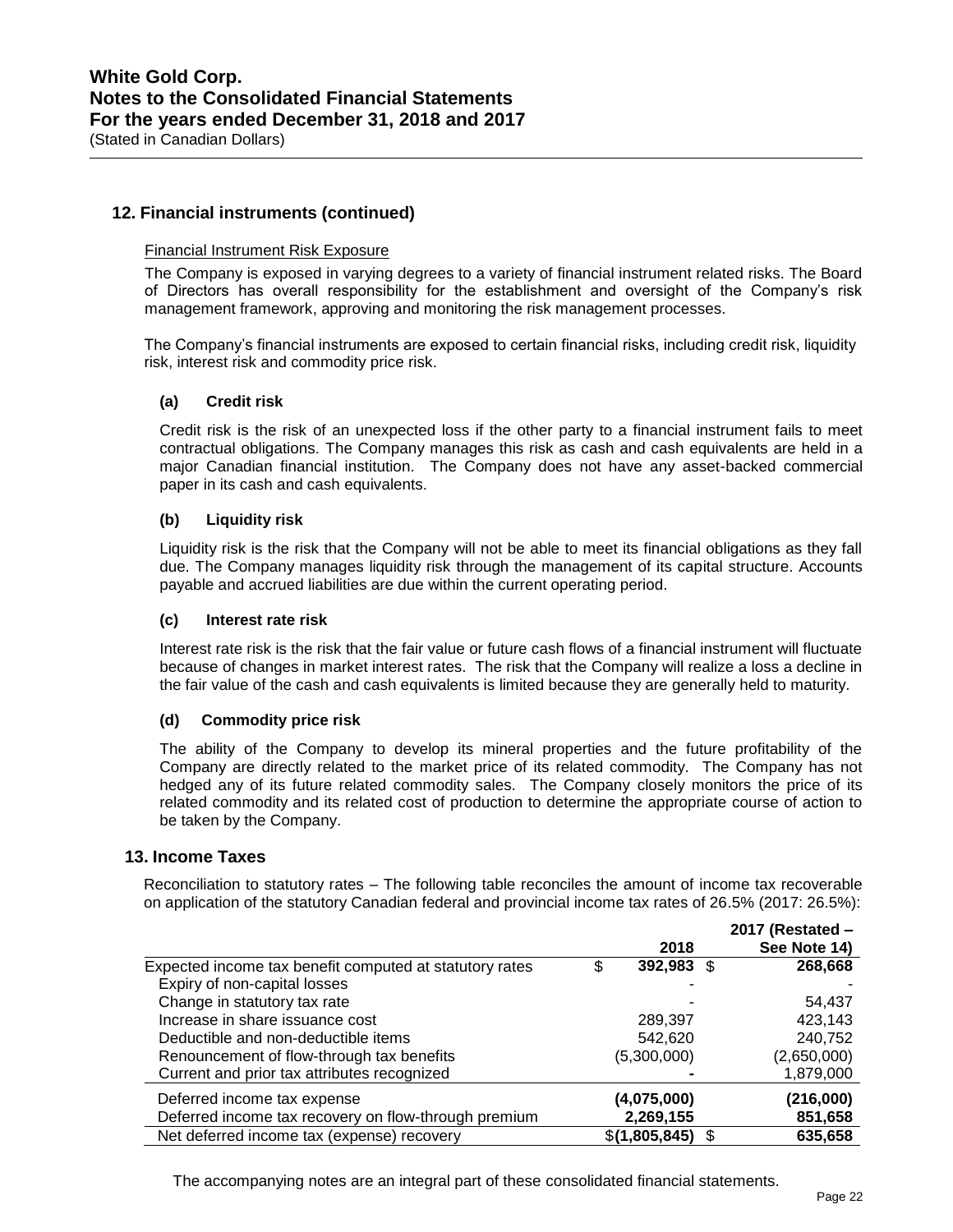# **12. Financial instruments (continued)**

## Financial Instrument Risk Exposure

The Company is exposed in varying degrees to a variety of financial instrument related risks. The Board of Directors has overall responsibility for the establishment and oversight of the Company's risk management framework, approving and monitoring the risk management processes.

The Company's financial instruments are exposed to certain financial risks, including credit risk, liquidity risk, interest risk and commodity price risk.

## **(a) Credit risk**

Credit risk is the risk of an unexpected loss if the other party to a financial instrument fails to meet contractual obligations. The Company manages this risk as cash and cash equivalents are held in a major Canadian financial institution. The Company does not have any asset-backed commercial paper in its cash and cash equivalents.

## **(b) Liquidity risk**

Liquidity risk is the risk that the Company will not be able to meet its financial obligations as they fall due. The Company manages liquidity risk through the management of its capital structure. Accounts payable and accrued liabilities are due within the current operating period.

#### **(c) Interest rate risk**

Interest rate risk is the risk that the fair value or future cash flows of a financial instrument will fluctuate because of changes in market interest rates. The risk that the Company will realize a loss a decline in the fair value of the cash and cash equivalents is limited because they are generally held to maturity.

## **(d) Commodity price risk**

The ability of the Company to develop its mineral properties and the future profitability of the Company are directly related to the market price of its related commodity. The Company has not hedged any of its future related commodity sales. The Company closely monitors the price of its related commodity and its related cost of production to determine the appropriate course of action to be taken by the Company.

## **13. Income Taxes**

Reconciliation to statutory rates – The following table reconciles the amount of income tax recoverable on application of the statutory Canadian federal and provincial income tax rates of 26.5% (2017: 26.5%):

|                                                         |               | 2017 (Restated - |
|---------------------------------------------------------|---------------|------------------|
|                                                         | 2018          | See Note 14)     |
| Expected income tax benefit computed at statutory rates | 392,983 \$    | 268,668          |
| Expiry of non-capital losses                            |               |                  |
| Change in statutory tax rate                            |               | 54,437           |
| Increase in share issuance cost                         | 289,397       | 423,143          |
| Deductible and non-deductible items                     | 542,620       | 240,752          |
| Renouncement of flow-through tax benefits               | (5,300,000)   | (2,650,000)      |
| Current and prior tax attributes recognized             |               | 1,879,000        |
| Deferred income tax expense                             | (4,075,000)   | (216,000)        |
| Deferred income tax recovery on flow-through premium    | 2,269,155     | 851,658          |
| Net deferred income tax (expense) recovery              | \$(1,805,845) | 635,658          |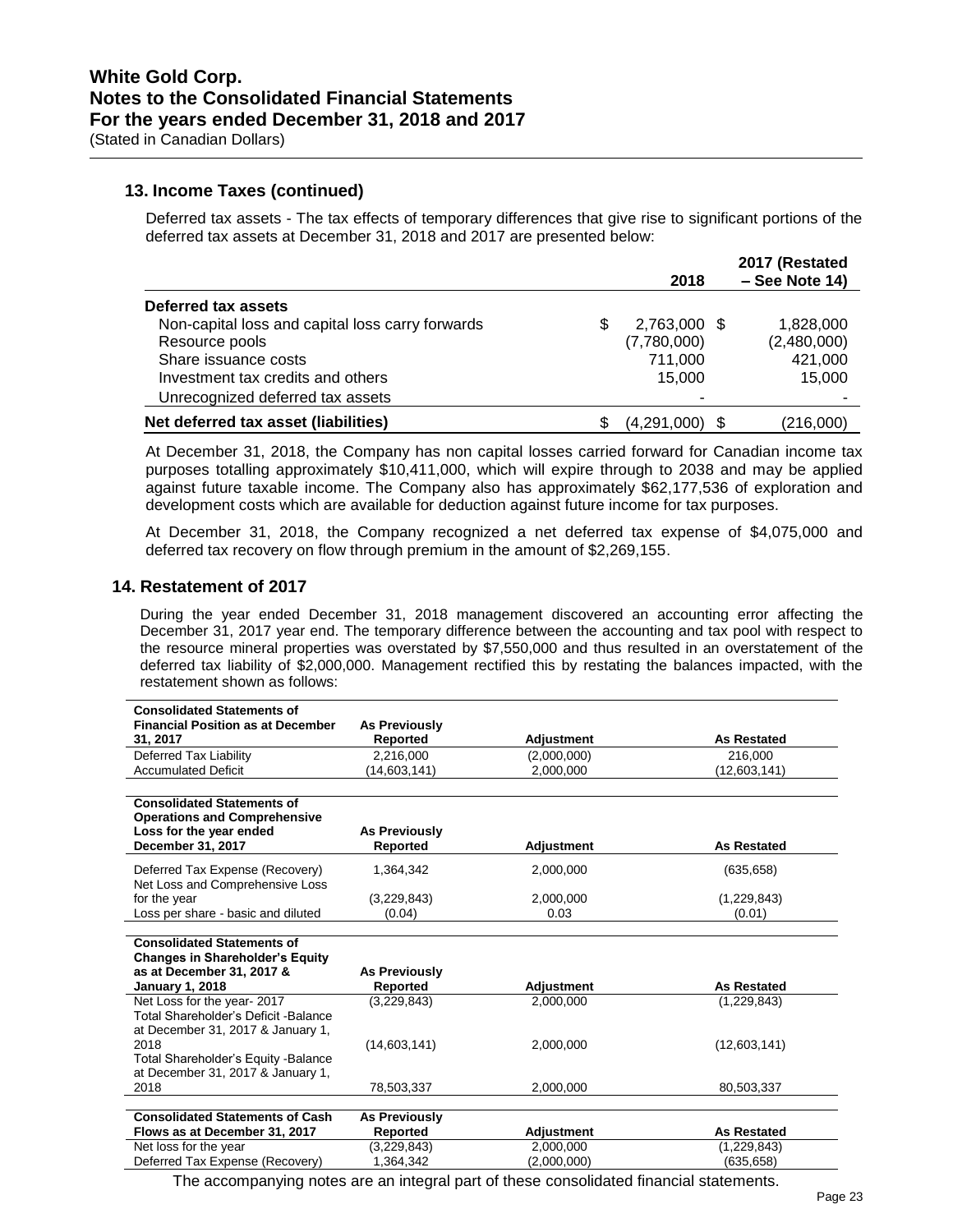## **13. Income Taxes (continued)**

Deferred tax assets - The tax effects of temporary differences that give rise to significant portions of the deferred tax assets at December 31, 2018 and 2017 are presented below:

|                                                  |     | 2018             | 2017 (Restated<br>$-$ See Note 14) |
|--------------------------------------------------|-----|------------------|------------------------------------|
| Deferred tax assets                              |     |                  |                                    |
| Non-capital loss and capital loss carry forwards | S   | 2,763,000 \$     | 1,828,000                          |
| Resource pools                                   |     | (7,780,000)      | (2,480,000)                        |
| Share issuance costs                             |     | 711.000          | 421.000                            |
| Investment tax credits and others                |     | 15.000           | 15.000                             |
| Unrecognized deferred tax assets                 |     |                  |                                    |
| Net deferred tax asset (liabilities)             | \$. | $(4,291,000)$ \$ | (216,000)                          |

At December 31, 2018, the Company has non capital losses carried forward for Canadian income tax purposes totalling approximately \$10,411,000, which will expire through to 2038 and may be applied against future taxable income. The Company also has approximately \$62,177,536 of exploration and development costs which are available for deduction against future income for tax purposes.

At December 31, 2018, the Company recognized a net deferred tax expense of \$4,075,000 and deferred tax recovery on flow through premium in the amount of \$2,269,155.

## **14. Restatement of 2017**

During the year ended December 31, 2018 management discovered an accounting error affecting the December 31, 2017 year end. The temporary difference between the accounting and tax pool with respect to the resource mineral properties was overstated by \$7,550,000 and thus resulted in an overstatement of the deferred tax liability of \$2,000,000. Management rectified this by restating the balances impacted, with the restatement shown as follows:

| <b>Consolidated Statements of</b><br><b>Financial Position as at December</b> | <b>As Previously</b> |                   |                    |
|-------------------------------------------------------------------------------|----------------------|-------------------|--------------------|
| 31, 2017                                                                      | Reported             | <b>Adjustment</b> | <b>As Restated</b> |
| Deferred Tax Liability                                                        | 2.216.000            | (2.000.000)       | 216.000            |
| <b>Accumulated Deficit</b>                                                    | (14,603,141)         | 2,000,000         | (12,603,141)       |
|                                                                               |                      |                   |                    |
| <b>Consolidated Statements of</b><br><b>Operations and Comprehensive</b>      |                      |                   |                    |
| Loss for the year ended                                                       | <b>As Previously</b> |                   |                    |
| December 31, 2017                                                             | Reported             | <b>Adjustment</b> | <b>As Restated</b> |
| Deferred Tax Expense (Recovery)<br>Net Loss and Comprehensive Loss            | 1,364,342            | 2,000,000         | (635, 658)         |
| for the year                                                                  | (3,229,843)          | 2,000,000         | (1,229,843)        |
| Loss per share - basic and diluted                                            | (0.04)               | 0.03              | (0.01)             |
|                                                                               |                      |                   |                    |
| <b>Consolidated Statements of</b><br><b>Changes in Shareholder's Equity</b>   |                      |                   |                    |
| as at December 31, 2017 &                                                     | <b>As Previously</b> |                   |                    |
| <b>January 1, 2018</b>                                                        | Reported             | <b>Adjustment</b> | <b>As Restated</b> |
| Net Loss for the year- 2017                                                   | (3,229,843)          | 2,000,000         | (1,229,843)        |
| Total Shareholder's Deficit -Balance                                          |                      |                   |                    |
| at December 31, 2017 & January 1,                                             |                      |                   |                    |
| 2018<br><b>Total Shareholder's Equity -Balance</b>                            | (14,603,141)         | 2,000,000         | (12,603,141)       |
| at December 31, 2017 & January 1,                                             |                      |                   |                    |
| 2018                                                                          | 78,503,337           | 2,000,000         | 80,503,337         |
|                                                                               |                      |                   |                    |
| <b>Consolidated Statements of Cash</b>                                        | <b>As Previously</b> |                   |                    |
| Flows as at December 31, 2017                                                 | Reported             | <b>Adjustment</b> | <b>As Restated</b> |
| Net loss for the year                                                         | (3,229,843)          | 2.000.000         | (1,229,843)        |
| Deferred Tax Expense (Recovery)                                               | 1,364,342            | (2,000,000)       | (635,658)          |